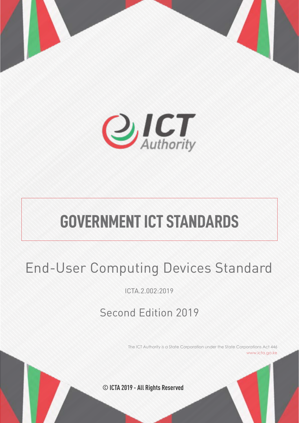



# **GOVERNMENT ICT STANDARDS**

# End-User Computing Devices Standard

ICTA.2.002:2019

# Second Edition 2019

The ICT Authority is a State Corporation under the State Corporations Act 446 www.icta.go.ke

**© ICTA 2019 - All Rights Reserved**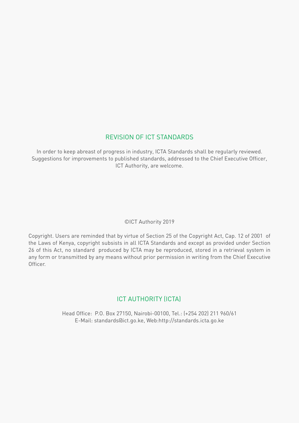## REVISION OF ICT STANDARDS

In order to keep abreast of progress in industry, ICTA Standards shall be regularly reviewed. Suggestions for improvements to published standards, addressed to the Chief Executive Officer, ICT Authority, are welcome.

## ©ICT Authority 2019

Copyright. Users are reminded that by virtue of Section 25 of the Copyright Act, Cap. 12 of 2001 of the Laws of Kenya, copyright subsists in all ICTA Standards and except as provided under Section 26 of this Act, no standard produced by ICTA may be reproduced, stored in a retrieval system in any form or transmitted by any means without prior permission in writing from the Chief Executive Officer.

## ICT AUTHORITY (ICTA)

Head Office: P.O. Box 27150, Nairobi-00100, Tel.: (+254 202) 211 960/61 E-Mail: standards@ict.go.ke, Web:http://standards.icta.go.ke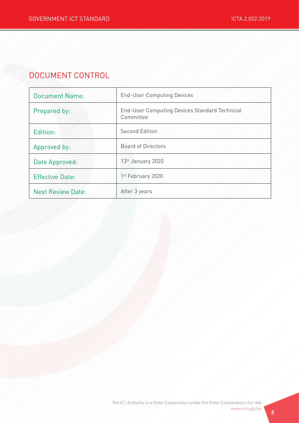# DOCUMENT CONTROL

| <b>Document Name:</b>    | <b>End-User Computing Devices</b>                                 |
|--------------------------|-------------------------------------------------------------------|
| Prepared by:             | <b>End-User Computing Devices Standard Technical</b><br>Committee |
| Edition:                 | <b>Second Edition</b>                                             |
| Approved by:             | <b>Board of Directors</b>                                         |
| Date Approved:           | 13 <sup>th</sup> January 2020                                     |
| <b>Effective Date:</b>   | 1 <sup>st</sup> February 2020                                     |
| <b>Next Review Date:</b> | After 3 years                                                     |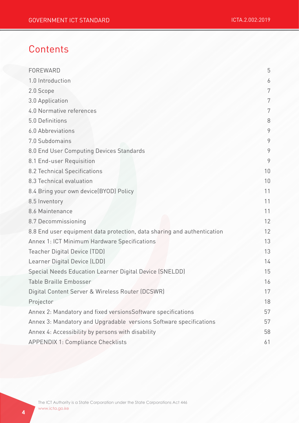# **Contents**

| FOREWARD                                                                | 5  |
|-------------------------------------------------------------------------|----|
| 1.0 Introduction                                                        | 6  |
| 2.0 Scope                                                               | 7  |
| 3.0 Application                                                         | 7  |
| 4.0 Normative references                                                | 7  |
| 5.0 Definitions                                                         | 8  |
| 6.0 Abbreviations                                                       | 9  |
| 7.0 Subdomains                                                          | 9  |
| 8.0 End User Computing Devices Standards                                | 9  |
| 8.1 End-user Requisition                                                | 9  |
| 8.2 Technical Specifications                                            | 10 |
| 8.3 Technical evaluation                                                | 10 |
| 8.4 Bring your own device(BYOD) Policy                                  | 11 |
| 8.5 Inventory                                                           | 11 |
| 8.6 Maintenance                                                         | 11 |
| 8.7 Decommissioning                                                     | 12 |
| 8.8 End user equipment data protection, data sharing and authentication | 12 |
| Annex 1: ICT Minimum Hardware Specifications                            | 13 |
| Teacher Digital Device (TDD)                                            | 13 |
| Learner Digital Device (LDD)                                            | 14 |
| Special Needs Education Learner Digital Device (SNELDD)                 | 15 |
| Table Braille Embosser                                                  | 16 |
| Digital Content Server & Wireless Router (DCSWR)                        | 17 |
| Projector                                                               | 18 |
| Annex 2: Mandatory and fixed versionsSoftware specifications            | 57 |
| Annex 3: Mandatory and Upgradable versions Software specifications      | 57 |
| Annex 4: Accessibility by persons with disability                       | 58 |
| <b>APPENDIX 1: Compliance Checklists</b>                                | 61 |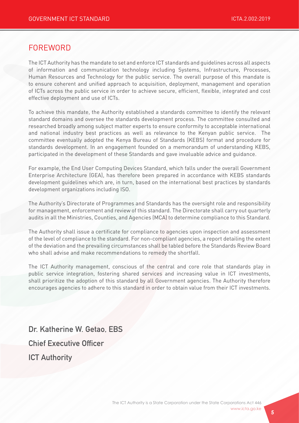## FOREWORD

The ICT Authority has the mandate to set and enforce ICT standards and guidelines across all aspects of information and communication technology including Systems, Infrastructure, Processes, Human Resources and Technology for the public service. The overall purpose of this mandate is to ensure coherent and unified approach to acquisition, deployment, management and operation of ICTs across the public service in order to achieve secure, efficient, flexible, integrated and cost effective deployment and use of ICTs.

To achieve this mandate, the Authority established a standards committee to identify the relevant standard domains and oversee the standards development process. The committee consulted and researched broadly among subject matter experts to ensure conformity to acceptable international and national industry best practices as well as relevance to the Kenyan public service. The committee eventually adopted the Kenya Bureau of Standards (KEBS) format and procedure for standards development. In an engagement founded on a memorandum of understanding KEBS, participated in the development of these Standards and gave invaluable advice and guidance.

For example, the End User Computing Devices Standard, which falls under the overall Government Enterprise Architecture (GEA), has therefore been prepared in accordance with KEBS standards development guidelines which are, in turn, based on the international best practices by standards development organizations including ISO.

The Authority's Directorate of Programmes and Standards has the oversight role and responsibility for management, enforcement and review of this standard. The Directorate shall carry out quarterly audits in all the Ministries, Counties, and Agencies (MCA) to determine compliance to this Standard.

The Authority shall issue a certificate for compliance to agencies upon inspection and assessment of the level of compliance to the standard. For non-compliant agencies, a report detailing the extent of the deviation and the prevailing circumstances shall be tabled before the Standards Review Board who shall advise and make recommendations to remedy the shortfall.

The ICT Authority management, conscious of the central and core role that standards play in public service integration, fostering shared services and increasing value in ICT investments, shall prioritize the adoption of this standard by all Government agencies. The Authority therefore encourages agencies to adhere to this standard in order to obtain value from their ICT investments.

Dr. Katherine W. Getao, EBS Chief Executive Officer ICT Authority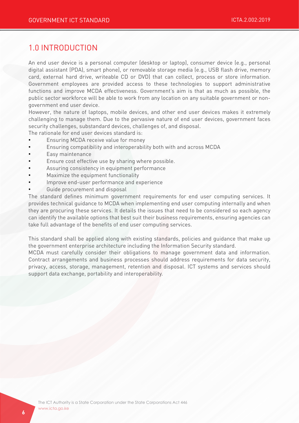## 1.0 INTRODUCTION

An end user device is a personal computer (desktop or laptop), consumer device (e.g., personal digital assistant (PDA), smart phone), or removable storage media (e.g., USB flash drive, memory card, external hard drive, writeable CD or DVD) that can collect, process or store information. Government employees are provided access to these technologies to support administrative functions and improve MCDA effectiveness. Government's aim is that as much as possible, the public sector workforce will be able to work from any location on any suitable government or nongovernment end user device.

However, the nature of laptops, mobile devices, and other end user devices makes it extremely challenging to manage them. Due to the pervasive nature of end user devices, government faces security challenges, substandard devices, challenges of, and disposal.

The rationale for end user devices standard is:

- Ensuring MCDA receive value for money
- Ensuring compatibility and interoperability both with and across MCDA
- Easy maintenance
- Ensure cost effective use by sharing where possible.
- Assuring consistency in equipment performance
- Maximize the equipment functionality
- Improve end-user performance and experience
- Guide procurement and disposal

The standard defines minimum government requirements for end user computing services. It provides technical guidance to MCDA when implementing end user computing internally and when they are procuring these services. It details the issues that need to be considered so each agency can identify the available options that best suit their business requirements, ensuring agencies can take full advantage of the benefits of end user computing services.

This standard shall be applied along with existing standards, policies and guidance that make up the government enterprise architecture including the Information Security standard.

MCDA must carefully consider their obligations to manage government data and information. Contract arrangements and business processes should address requirements for data security, privacy, access, storage, management, retention and disposal. ICT systems and services should support data exchange, portability and interoperability.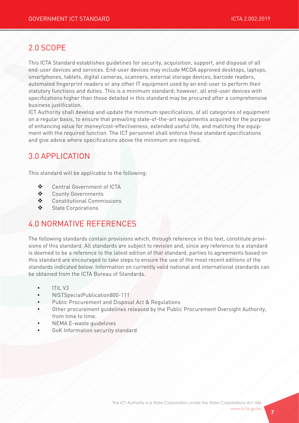# 2.0 SCOPE

This ICTA Standard establishes guidelines for security, acquisition, support, and disposal of all end-user devices and services. End-user devices may include MCDA approved desktops, laptops, smartphones, tablets, digital cameras, scanners, external storage devices, barcode readers, automated fingerprint readers or any other IT equipment used by an end-user to perform their statutory functions and duties. This is a minimum standard; however, all end-user devices with specifications higher than those detailed in this standard may be procured after a comprehensive business justification.

ICT Authority shall develop and update the minimum specifications, of all categories of equipment on a regular basis, to ensure that prevailing state-of-the-art equipmentis acquired for the purpose of enhancing value for money/cost-effectiveness, extended useful life, and matching the equipment with the required function. The ICT personnel shall enforce these standard specifications and give advice where specifications above the minimum are required.

# 3.0 APPLICATION

This standard will be applicable to the following:

- ◆ Central Government of ICTA
- ❖ County Governments
- $\triangleleft$  Constitutional Commissions
- v State Corporations

# 4.0 NORMATIVE REFERENCES

The following standards contain provisions which, through reference in this text, constitute provisions of this standard. All standards are subject to revision and, since any reference to a standard is deemed to be a reference to the latest edition of that standard, parties to agreements based on this standard are encouraged to take steps to ensure the use of the most recent editions of the standards indicated below. Information on currently valid national and international standards can be obtained from the ICTA Bureau of Standards.

- ITIL V3
- NISTSpecialPublication800-111
- Public Procurement and Disposal Act & Regulations
- Other procurement guidelines released by the Public Procurement Oversight Authority, from time to time.
- NEMA E-waste guidelines
- GoK Information security standard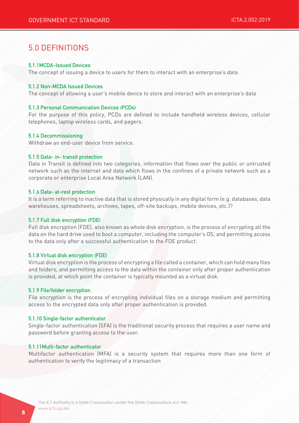# 5.0 DEFINITIONS

#### 5.1.1MCDA-Issued Devices

The concept of issuing a device to users for them to interact with an enterprise's data

#### 5.1.2 Non-MCDA Issued Devices

The concept of allowing a user's mobile device to store and interact with an enterprise's data

#### 5.1.3 Personal Communication Devices (PCDs)

For the purpose of this policy, PCDs are defined to include handheld wireless devices, cellular telephones, laptop wireless cards, and pagers.

#### 5.1.4 Decommissioning

Withdraw an end-user device from service.

#### 5.1.5 Data- in- transit protection

Data in Transit is defined into two categories, information that flows over the public or untrusted network such as the internet and data which flows in the confines of a private network such as a corporate or enterprise Local Area Network (LAN).

#### 5.1.6 Data- at-rest protection

It is a term referring to inactive data that is stored physically in any digital form (e.g. databases, data warehouses, spreadsheets, archives, tapes, off-site backups, mobile devices, etc.)?

#### 5.1.7 Full disk encryption (FDE)

Full disk encryption (FDE), also known as whole disk encryption, is the process of encrypting all the data on the hard drive used to boot a computer, including the computer's OS, and permitting access to the data only after a successful authentication to the FDE product.

#### 5.1.8 Virtual disk encryption (FDE)

Virtual disk encryption is the process of encrypting a file called a container, which can hold many files and folders, and permitting access to the data within the container only after proper authentication is provided, at which point the container is typically mounted as a virtual disk.

#### 5.1.9 File/folder encryption

File encryption is the process of encrypting individual files on a storage medium and permitting access to the encrypted data only after proper authentication is provided.

#### 5.1.10 Single-factor authenticator

Single-factor authentication (SFA) is the traditional security process that requires a user name and password before granting access to the user.

#### 5.1.11Multi-factor authenticator

Multifactor authentication (MFA) is a security system that requires more than one form of authentication to verify the legitimacy of a transaction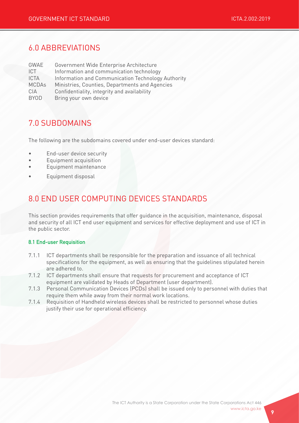# 6.0 ABBREVIATIONS

| GWAE         | Government Wide Enterprise Architecture            |
|--------------|----------------------------------------------------|
| <b>ICT</b>   | Information and communication technology           |
| <b>ICTA</b>  | Information and Communication Technology Authority |
| <b>MCDAs</b> | Ministries, Counties, Departments and Agencies     |
| CIA          | Confidentiality, integrity and availability        |
| <b>BYOD</b>  | Bring your own device                              |

## 7.0 SUBDOMAINS

The following are the subdomains covered under end-user devices standard:

- End-user device security
- Equipment acquisition
- Equipment maintenance
- Equipment disposal

# 8.0 END USER COMPUTING DEVICES STANDARDS

This section provides requirements that offer guidance in the acquisition, maintenance, disposal and security of all ICT end user equipment and services for effective deployment and use of ICT in the public sector.

#### 8.1 End-user Requisition

- 7.1.1 ICT departments shall be responsible for the preparation and issuance of all technical specifications for the equipment, as well as ensuring that the guidelines stipulated herein are adhered to.
- 7.1.2 ICT departments shall ensure that requests for procurement and acceptance of ICT equipment are validated by Heads of Department (user department).
- 7.1.3 Personal Communication Devices (PCDs) shall be issued only to personnel with duties that require them while away from their normal work locations.
- 7.1.4 Requisition of Handheld wireless devices shall be restricted to personnel whose duties justify their use for operational efficiency.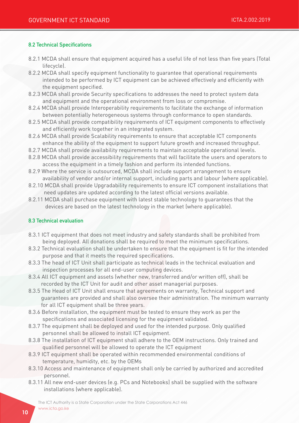#### 8.2 Technical Specifications

- 8.2.1 MCDA shall ensure that equipment acquired has a useful life of not less than five years (Total lifecycle).
- 8.2.2 MCDA shall specify equipment functionality to guarantee that operational requirements intended to be performed by ICT equipment can be achieved effectively and efficiently with the equipment specified.
- 8.2.3 MCDA shall provide Security specifications to addresses the need to protect system data and equipment and the operational environment from loss or compromise.
- 8.2.4 MCDA shall provide Interoperability requirements to facilitate the exchange of information between potentially heterogeneous systems through conformance to open standards.
- 8.2.5 MCDA shall provide compatibility requirements of ICT equipment components to effectively and efficiently work together in an integrated system.
- 8.2.6 MCDA shall provide Scalability requirements to ensure that acceptable ICT components enhance the ability of the equipment to support future growth and increased throughput.
- 8.2.7 MCDA shall provide availability requirements to maintain acceptable operational levels.
- 8.2.8 MCDA shall provide accessibility requirements that will facilitate the users and operators to access the equipment in a timely fashion and perform its intended functions.
- 8.2.9 Where the service is outsourced, MCDA shall include support arrangement to ensure availability of vendor and/or internal support, including parts and labour (where applicable).
- 8.2.10 MCDA shall provide Upgradability requirements to ensure ICT component installations that need updates are updated according to the latest official versions available.
- 8.2.11 MCDA shall purchase equipment with latest stable technology to guarantees that the devices are based on the latest technology in the market (where applicable).

#### 8.3 Technical evaluation

- 8.3.1 ICT equipment that does not meet industry and safety standards shall be prohibited from being deployed. All donations shall be required to meet the minimum specifications.
- 8.3.2 Technical evaluation shall be undertaken to ensure that the equipment is fit for the intended purpose and that it meets the required specifications.
- 8.3.3 The head of ICT Unit shall participate as technical leads in the technical evaluation and inspection processes for all end-user computing devices.
- 8.3.4 All ICT equipment and assets (whether new, transferred and/or written off), shall be recorded by the ICT Unit for audit and other asset managerial purposes.
- 8.3.5 The Head of ICT Unit shall ensure that agreements on warranty, Technical support and guarantees are provided and shall also oversee their administration. The minimum warranty for all ICT equipment shall be three years.
- 8.3.6 Before installation, the equipment must be tested to ensure they work as per the specifications and associated licensing for the equipment validated.
- 8.3.7 The equipment shall be deployed and used for the intended purpose. Only qualified personnel shall be allowed to install ICT equipment.
- 8.3.8 The installation of ICT equipment shall adhere to the OEM instructions. Only trained and qualified personnel will be allowed to operate the ICT equipment
- 8.3.9 ICT equipment shall be operated within recommended environmental conditions of temperature, humidity, etc. by the OEMs
- 8.3.10 Access and maintenance of equipment shall only be carried by authorized and accredited personnel.
- 8.3.11 All new end-user devices (e.g. PCs and Notebooks) shall be supplied with the software installations (where applicable).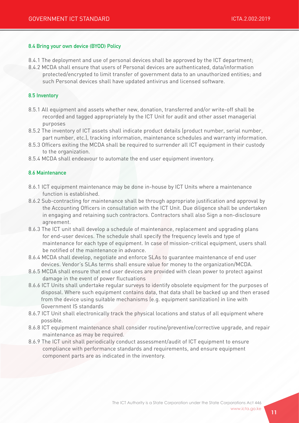#### 8.4 Bring your own device (BYOD) Policy

- 8.4.1 The deployment and use of personal devices shall be approved by the ICT department;
- 8.4.2 MCDA shall ensure that users of Personal devices are authenticated, data/information protected/encrypted to limit transfer of government data to an unauthorized entities; and such Personal devices shall have updated antivirus and licensed software.

#### 8.5 Inventory

- 8.5.1 All equipment and assets whether new, donation, transferred and/or write-off shall be recorded and tagged appropriately by the ICT Unit for audit and other asset managerial purposes
- 8.5.2 The inventory of ICT assets shall indicate product details (product number, serial number, part number, etc.), tracking information, maintenance schedules and warranty information.
- 8.5.3 Officers exiting the MCDA shall be required to surrender all ICT equipment in their custody to the organization.
- 8.5.4 MCDA shall endeavour to automate the end user equipment inventory.

#### 8.6 Maintenance

- 8.6.1 ICT equipment maintenance may be done in-house by ICT Units where a maintenance function is established.
- 8.6.2 Sub-contracting for maintenance shall be through appropriate justification and approval by the Accounting Officers in consultation with the ICT Unit. Due diligence shall be undertaken in engaging and retaining such contractors. Contractors shall also Sign a non-disclosure agreement.
- 8.6.3 The ICT unit shall develop a schedule of maintenance, replacement and upgrading plans for end-user devices. The schedule shall specify the frequency levels and type of maintenance for each type of equipment. In case of mission-critical equipment, users shall be notified of the maintenance in advance.
- 8.6.4 MCDA shall develop, negotiate and enforce SLAs to guarantee maintenance of end user devices. Vendor's SLAs terms shall ensure value for money to the organization/MCDA.
- 8.6.5 MCDA shall ensure that end user devices are provided with clean power to protect against damage in the event of power fluctuations
- 8.6.6 ICT Units shall undertake regular surveys to identify obsolete equipment for the purposes of disposal. Where such equipment contains data, that data shall be backed up and then erased from the device using suitable mechanisms (e.g. equipment sanitization) in line with Government IS standards
- 8.6.7 ICT Unit shall electronically track the physical locations and status of all equipment where possible.
- 8.6.8 ICT equipment maintenance shall consider routine/preventive/corrective upgrade, and repair maintenance as may be required.
- 8.6.9 The ICT unit shall periodically conduct assessment/audit of ICT equipment to ensure compliance with performance standards and requirements, and ensure equipment component parts are as indicated in the inventory.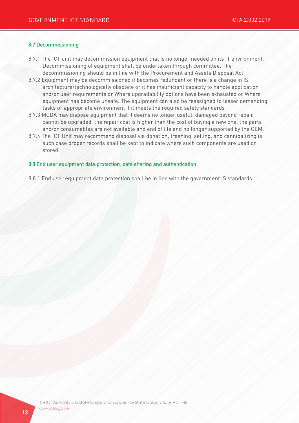#### 8.7 Decommissioning

- 8.7.1 The ICT unit may decommission equipment that is no longer needed on its IT environment. Decommissioning of equipment shall be undertaken through committee. The decommissioning should be in line with the Procurement and Assets Disposal Act.
- 8.7.2 Equipment may be decommissioned if becomes redundant or there is a change in IS architecture/technologically obsolete or it has insufficient capacity to handle application and/or user requirements or Where upgradability options have been exhausted or Where equipment has become unsafe. The equipment can also be reassigned to lesser demanding tasks or appropriate environment if it meets the required safety standards
- 8.7.3 MCDA may dispose equipment that it deems no longer useful, damaged beyond repair, cannot be upgraded, the repair cost is higher than the cost of buying a new one, the parts and/or consumables are not available and end of life and no longer supported by the OEM.
- 8.7.4 The ICT Unit may recommend disposal via donation, trashing, selling, and cannibalizing is such case proper records shall be kept to indicate where such components are used or stored.

#### 8.8 End user equipment data protection, data sharing and authentication

8.8.1 End user equipment data protection shall be in line with the government IS standards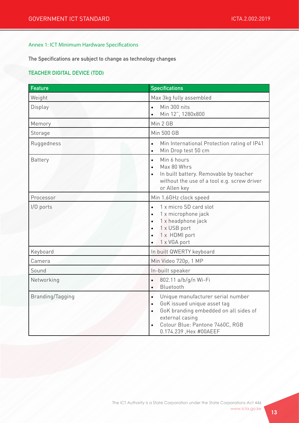#### Annex 1: ICT Minimum Hardware Specifications

The Specifications are subject to change as technology changes

#### TEACHER DIGITAL DEVICE (TDD)

| <b>Feature</b>   | <b>Specifications</b>                                                                                                                                                                                                            |
|------------------|----------------------------------------------------------------------------------------------------------------------------------------------------------------------------------------------------------------------------------|
| Weight           | Max 3kg fully assembled                                                                                                                                                                                                          |
| Display          | Min 300 nits<br>$\bullet$<br>Min 12", 1280x800                                                                                                                                                                                   |
| Memory           | Min 2 GB                                                                                                                                                                                                                         |
| Storage          | <b>Min 500 GB</b>                                                                                                                                                                                                                |
| Ruggedness       | Min International Protection rating of IP41<br>$\bullet$<br>Min Drop test 50 cm<br>$\bullet$                                                                                                                                     |
| Battery          | Min 6 hours<br>$\bullet$<br>Max 80 Whrs<br>$\bullet$<br>In built battery. Removable by teacher<br>without the use of a tool e.g. screw driver<br>or Allen key                                                                    |
| Processor        | Min 1.6GHz clock speed                                                                                                                                                                                                           |
| I/O ports        | 1 x micro SD card slot<br>$\bullet$<br>1 x microphone jack<br>$\bullet$<br>1 x headphone jack<br>$\bullet$<br>1 x USB port<br>1 x HDMI port<br>$\bullet$<br>1 x VGA port<br>$\bullet$                                            |
| Keyboard         | In built QWERTY keyboard                                                                                                                                                                                                         |
| Camera           | Min Video 720p, 1 MP                                                                                                                                                                                                             |
| Sound            | In-built speaker                                                                                                                                                                                                                 |
| Networking       | 802.11 a/b/g/n Wi-Fi<br>$\bullet$<br>Bluetooth<br>$\bullet$                                                                                                                                                                      |
| Branding/Tagging | Unique manufacturer serial number<br>$\bullet$<br>GoK issued unique asset tag<br>$\bullet$<br>GoK branding embedded on all sides of<br>$\bullet$<br>external casing<br>Colour Blue: Pantone 7460C, RGB<br>0.174.239, Hex #00AEEF |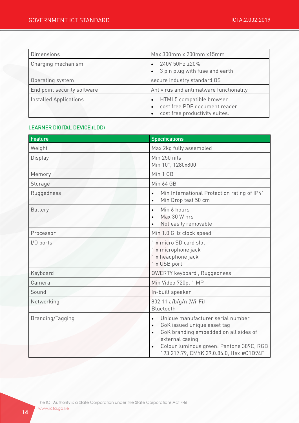| <b>Dimensions</b>           | Max 300mm x 200mm x15mm                                                                       |
|-----------------------------|-----------------------------------------------------------------------------------------------|
| Charging mechanism          | 240V 50Hz ±20%<br>3 pin plug with fuse and earth                                              |
| Operating system            | secure industry standard OS                                                                   |
| End point security software | Antivirus and antimalware functionality                                                       |
| Installed Applications      | HTML5 compatible browser.<br>cost free PDF document reader.<br>cost free productivity suites. |

#### LEARNER DIGITAL DEVICE (LDD)

| <b>Feature</b>   | <b>Specifications</b>                                                                                                                                                                                                                                                   |
|------------------|-------------------------------------------------------------------------------------------------------------------------------------------------------------------------------------------------------------------------------------------------------------------------|
| Weight           | Max 2kg fully assembled                                                                                                                                                                                                                                                 |
| Display          | Min 250 nits<br>Min 10", 1280x800                                                                                                                                                                                                                                       |
| Memory           | Min 1 GB                                                                                                                                                                                                                                                                |
| Storage          | <b>Min 64 GB</b>                                                                                                                                                                                                                                                        |
| Ruggedness       | Min International Protection rating of IP41<br>$\bullet$<br>Min Drop test 50 cm<br>$\bullet$                                                                                                                                                                            |
| <b>Battery</b>   | Min 6 hours<br>$\bullet$<br>Max 30 W hrs<br>Not easily removable                                                                                                                                                                                                        |
| Processor        | Min 1.0 GHz clock speed                                                                                                                                                                                                                                                 |
| I/O ports        | 1 x micro SD card slot<br>1 x microphone jack<br>1 x headphone jack<br>1 x USB port                                                                                                                                                                                     |
| Keyboard         | QWERTY keyboard, Ruggedness                                                                                                                                                                                                                                             |
| Camera           | Min Video 720p, 1 MP                                                                                                                                                                                                                                                    |
| Sound            | In-built speaker                                                                                                                                                                                                                                                        |
| Networking       | 802.11 a/b/g/n (Wi-Fi)<br>Bluetooth                                                                                                                                                                                                                                     |
| Branding/Tagging | Unique manufacturer serial number<br>$\bullet$<br>GoK issued unique asset tag<br>$\bullet$<br>GoK branding embedded on all sides of<br>$\bullet$<br>external casing<br>Colour luminous green: Pantone 389C, RGB<br>$\bullet$<br>193.217.79, CMYK 29.0.86.0, Hex #C1D94F |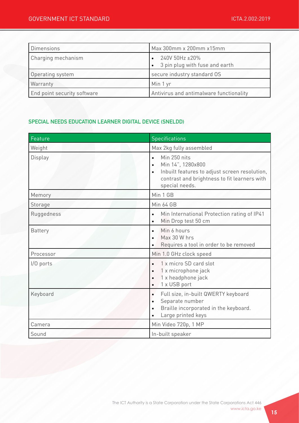| <b>Dimensions</b>           | Max 300mm x 200mm x15mm                          |
|-----------------------------|--------------------------------------------------|
| Charging mechanism          | 240V 50Hz ±20%<br>3 pin plug with fuse and earth |
| Operating system            | secure industry standard OS                      |
| Warranty                    | Min 1 yr                                         |
| End point security software | Antivirus and antimalware functionality          |

## SPECIAL NEEDS EDUCATION LEARNER DIGITAL DEVICE (SNELDD)

| <b>Feature</b> | <b>Specifications</b>                                                                                                                                                                       |
|----------------|---------------------------------------------------------------------------------------------------------------------------------------------------------------------------------------------|
| Weight         | Max 2kg fully assembled                                                                                                                                                                     |
| Display        | Min 250 nits<br>$\bullet$<br>Min 14", 1280x800<br>$\bullet$<br>Inbuilt features to adjust screen resolution,<br>$\bullet$<br>contrast and brightness to fit learners with<br>special needs. |
| Memory         | Min 1 GB                                                                                                                                                                                    |
| Storage        | <b>Min 64 GB</b>                                                                                                                                                                            |
| Ruggedness     | Min International Protection rating of IP41<br>$\bullet$<br>Min Drop test 50 cm<br>$\bullet$                                                                                                |
| <b>Battery</b> | Min 6 hours<br>$\bullet$<br>Max 30 W hrs<br>$\bullet$<br>Requires a tool in order to be removed<br>$\bullet$                                                                                |
| Processor      | Min 1.0 GHz clock speed                                                                                                                                                                     |
| $1/0$ ports    | 1 x micro SD card slot<br>$\bullet$<br>1 x microphone jack<br>$\bullet$<br>1 x headphone jack<br>1 x USB port<br>$\bullet$                                                                  |
| Keyboard       | Full size, in-built QWERTY keyboard<br>$\bullet$<br>Separate number<br>$\bullet$<br>Braille incorporated in the keyboard.<br>$\bullet$<br>Large printed keys<br>$\bullet$                   |
| Camera         | Min Video 720p, 1 MP                                                                                                                                                                        |
| Sound          | In-built speaker                                                                                                                                                                            |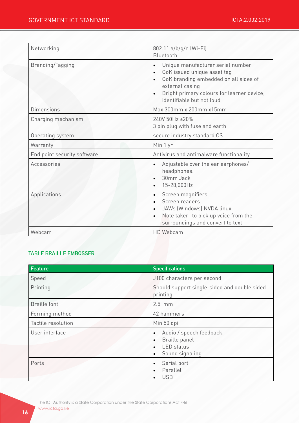| Networking                  | 802.11 a/b/g/n (Wi-Fi)<br>Bluetooth                                                                                                                                                                                                                         |
|-----------------------------|-------------------------------------------------------------------------------------------------------------------------------------------------------------------------------------------------------------------------------------------------------------|
| Branding/Tagging            | Unique manufacturer serial number<br>$\bullet$<br>GoK issued unique asset tag<br>$\bullet$<br>GoK branding embedded on all sides of<br>$\bullet$<br>external casing<br>Bright primary colours for learner device;<br>$\bullet$<br>identifiable but not loud |
| <b>Dimensions</b>           | Max 300mm x 200mm x15mm                                                                                                                                                                                                                                     |
| Charging mechanism          | 240V 50Hz ±20%<br>3 pin plug with fuse and earth                                                                                                                                                                                                            |
| Operating system            | secure industry standard OS                                                                                                                                                                                                                                 |
| Warranty                    | Min 1 yr                                                                                                                                                                                                                                                    |
| End point security software | Antivirus and antimalware functionality                                                                                                                                                                                                                     |
| Accessories                 | Adjustable over the ear earphones/<br>$\bullet$<br>headphones.                                                                                                                                                                                              |
|                             | 30mm Jack<br>$\bullet$<br>15-28,000Hz<br>$\bullet$                                                                                                                                                                                                          |
| Applications                | Screen magnifiers<br>$\bullet$<br>Screen readers<br>$\bullet$<br>JAWs (Windows) NVDA linux.<br>$\bullet$<br>Note taker- to pick up voice from the<br>$\bullet$<br>surroundings and convert to text                                                          |

## TABLE BRAILLE EMBOSSER

| <b>Feature</b>      | <b>Specifications</b>                                                                                                                 |
|---------------------|---------------------------------------------------------------------------------------------------------------------------------------|
| Speed               | J100 characters per second                                                                                                            |
| Printing            | Should support single-sided and double sided<br>printing                                                                              |
| <b>Braille font</b> | $2.5$ mm                                                                                                                              |
| Forming method      | 42 hammers                                                                                                                            |
| Tactile resolution  | Min 50 dpi                                                                                                                            |
| User interface      | Audio / speech feedback.<br>$\bullet$<br>Braille panel<br>$\bullet$<br><b>LED</b> status<br>$\bullet$<br>Sound signaling<br>$\bullet$ |
| Ports               | Serial port<br>$\bullet$<br>Parallel<br>$\bullet$<br><b>USB</b><br>$\bullet$                                                          |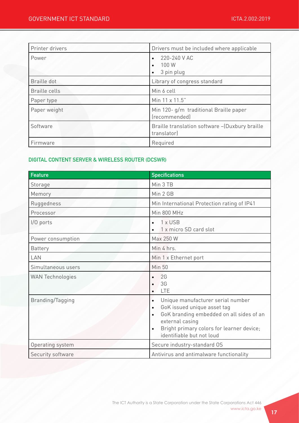| Printer drivers      | Drivers must be included where applicable                      |
|----------------------|----------------------------------------------------------------|
| Power                | 220-240 V AC<br>100 W<br>$\bullet$<br>3 pin plug<br>$\bullet$  |
| Braille dot          | Library of congress standard                                   |
| <b>Braille cells</b> | Min 6 cell                                                     |
| Paper type           | Min 11 x 11.5"                                                 |
| Paper weight         | Min 120- g/m traditional Braille paper<br>(recommended)        |
| Software             | Braille translation software - (Duxbury braille<br>translator) |
| Firmware             | Required                                                       |

## DIGITAL CONTENT SERVER & WIRELESS ROUTER (DCSWR)

| <b>Feature</b>          | <b>Specifications</b>                                                                                                                                                                                                                                         |
|-------------------------|---------------------------------------------------------------------------------------------------------------------------------------------------------------------------------------------------------------------------------------------------------------|
| Storage                 | Min 3 TB                                                                                                                                                                                                                                                      |
| Memory                  | Min 2 GB                                                                                                                                                                                                                                                      |
| Ruggedness              | Min International Protection rating of IP41                                                                                                                                                                                                                   |
| Processor               | Min 800 MHz                                                                                                                                                                                                                                                   |
| $1/0$ ports             | 1 x USB<br>$\bullet$<br>1 x micro SD card slot                                                                                                                                                                                                                |
| Power consumption       | Max 250 W                                                                                                                                                                                                                                                     |
| <b>Battery</b>          | Min 4 hrs.                                                                                                                                                                                                                                                    |
| LAN                     | Min 1 x Ethernet port                                                                                                                                                                                                                                         |
| Simultaneous users      | <b>Min 50</b>                                                                                                                                                                                                                                                 |
| <b>WAN Technologies</b> | 2G<br>$\bullet$<br>3 <sub>G</sub><br>$\bullet$<br><b>LTE</b><br>$\bullet$                                                                                                                                                                                     |
| Branding/Tagging        | Unique manufacturer serial number<br>$\bullet$<br>GoK issued unique asset tag<br>$\bullet$<br>GoK branding embedded on all sides of an<br>$\bullet$<br>external casing<br>Bright primary colors for learner device;<br>$\bullet$<br>identifiable but not loud |
| Operating system        | Secure industry-standard OS                                                                                                                                                                                                                                   |
| Security software       | Antivirus and antimalware functionality                                                                                                                                                                                                                       |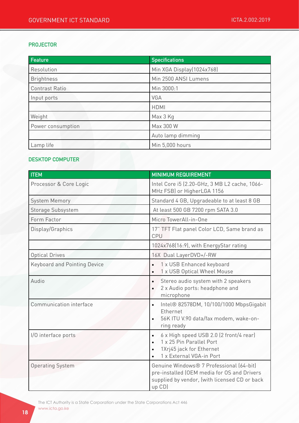#### PROJECTOR

| Feature           | <b>Specifications</b>     |
|-------------------|---------------------------|
| Resolution        | Min XGA Display(1024x768) |
| <b>Brightness</b> | Min 2500 ANSI Lumens      |
| Contrast Ratio    | Min 3000:1                |
| Input ports       | <b>VGA</b>                |
|                   | <b>HDMI</b>               |
| Weight            | Max 3 Kg                  |
| Power consumption | Max 300 W                 |
|                   | Auto lamp dimming         |
| Lamp life         | Min 5,000 hours           |

#### DESKTOP COMPUTER

| <b>ITEM</b>                         | <b>MINIMUM REQUIREMENT</b>                                                                                                                            |
|-------------------------------------|-------------------------------------------------------------------------------------------------------------------------------------------------------|
| Processor & Core Logic              | Intel Core i5 (2.20-GHz, 3 MB L2 cache, 1066-<br>MHz FSB) or HigherLGA 1156                                                                           |
| <b>System Memory</b>                | Standard 4 GB, Upgradeable to at least 8 GB                                                                                                           |
| Storage Subsystem                   | At least 500 GB 7200 rpm SATA 3.0                                                                                                                     |
| Form Factor                         | Micro TowerAll-in-One                                                                                                                                 |
| Display/Graphics                    | 17" TFT Flat panel Color LCD, Same brand as<br>CPU                                                                                                    |
|                                     | 1024x768(16:9), with EnergyStar rating                                                                                                                |
| <b>Optical Drives</b>               | 16X Dual LayerDVD+/-RW                                                                                                                                |
| <b>Keyboard and Pointing Device</b> | 1 x USB Enhanced keyboard<br>$\bullet$<br>1 x USB Optical Wheel Mouse<br>$\bullet$                                                                    |
| Audio                               | Stereo audio system with 2 speakers<br>$\bullet$<br>2 x Audio ports: headphone and<br>$\bullet$<br>microphone                                         |
| Communication interface             | Intel® 82578DM, 10/100/1000 MbpsGigabit<br>$\bullet$<br>Ethernet<br>56K ITU V.90 data/fax modem, wake-on-<br>$\bullet$<br>ring ready                  |
| I/O interface ports                 | 6 x High speed USB 2.0 (2 front/4 rear)<br>$\bullet$<br>1 x 25 Pin Parallel Port<br>$\bullet$<br>1Xrj45 jack for Ethernet<br>1 x External VGA-in Port |
| <b>Operating System</b>             | Genuine Windows® 7 Professional (64-bit)<br>pre-installed (OEM media for OS and Drivers<br>supplied by vendor, (with licensed CD or back<br>up CD)    |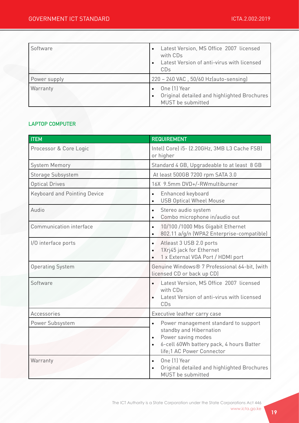| Software     | Latest Version, MS Office 2007 licensed<br>$\bullet$<br>with CDs<br>Latest Version of anti-virus with licensed<br>CDs |
|--------------|-----------------------------------------------------------------------------------------------------------------------|
| Power supply | 220 - 240 VAC, 50/60 Hz(auto-sensing)                                                                                 |
| Warranty     | One (1) Year<br>Original detailed and highlighted Brochures<br>$\bullet$<br>MUST be submitted                         |

#### LAPTOP COMPUTER

| <b>ITEM</b>                         | <b>REQUIREMENT</b>                                                                                                                                                                                    |
|-------------------------------------|-------------------------------------------------------------------------------------------------------------------------------------------------------------------------------------------------------|
| Processor & Core Logic              | Intel) Core) i5- (2.20GHz, 3MB L3 Cache FSB)<br>or higher                                                                                                                                             |
| System Memory                       | Standard 4 GB, Upgradeable to at least 8 GB                                                                                                                                                           |
| Storage Subsystem                   | At least 500GB 7200 rpm SATA 3.0                                                                                                                                                                      |
| <b>Optical Drives</b>               | 16X 9.5mm DVD+/-RWmultiburner                                                                                                                                                                         |
| <b>Keyboard and Pointing Device</b> | Enhanced keyboard<br>$\bullet$<br><b>USB Optical Wheel Mouse</b><br>$\bullet$                                                                                                                         |
| Audio                               | Stereo audio system<br>$\bullet$<br>Combo microphone in/audio out<br>$\bullet$                                                                                                                        |
| Communication interface             | 10/100 /1000 Mbs Gigabit Ethernet<br>$\bullet$<br>802.11 a/g/n (WPA2 Enterprise-compatible)<br>$\bullet$                                                                                              |
| I/O interface ports                 | Atleast 3 USB 2.0 ports<br>$\bullet$<br>1Xrj45 jack for Ethernet<br>$\bullet$<br>1 x External VGA Port / HDMI port<br>$\bullet$                                                                       |
| <b>Operating System</b>             | Genuine Windows® 7 Professional 64-bit, (with<br>licensed CD or back up CD)                                                                                                                           |
| Software                            | Latest Version, MS Office 2007 licensed<br>$\bullet$<br>with CDs<br>Latest Version of anti-virus with licensed<br>CDs                                                                                 |
| Accessories                         | Executive leather carry case                                                                                                                                                                          |
| Power Subsystem                     | Power management standard to support<br>$\bullet$<br>standby and Hibernation<br>Power saving modes<br>$\bullet$<br>6-cell 60Wh battery pack, 4 hours Batter<br>$\bullet$<br>life;1 AC Power Connector |
| Warranty                            | One [1] Year<br>$\bullet$<br>Original detailed and highlighted Brochures<br>$\bullet$<br>MUST be submitted                                                                                            |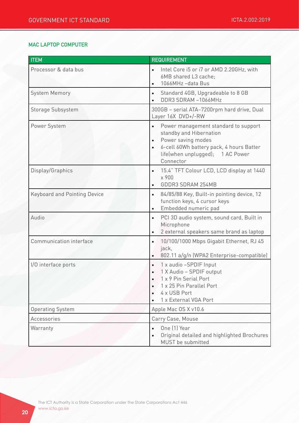## MAC LAPTOP COMPUTER

| <b>ITEM</b>                         | <b>REQUIREMENT</b>                                                                                                                                                                                                        |
|-------------------------------------|---------------------------------------------------------------------------------------------------------------------------------------------------------------------------------------------------------------------------|
| Processor & data bus                | Intel Core i5 or i7 or AMD 2.20GHz, with<br>$\bullet$<br>6MB shared L3 cache;<br>1066MHz-data Bus<br>$\bullet$                                                                                                            |
| <b>System Memory</b>                | Standard 4GB, Upgradeable to 8 GB<br>$\bullet$<br>DDR3 SDRAM-1066MHz                                                                                                                                                      |
| Storage Subsystem                   | 300GB - serial ATA-7200rpm hard drive, Dual<br>Layer 16X DVD+/-RW                                                                                                                                                         |
| Power System                        | Power management standard to support<br>$\bullet$<br>standby and Hibernation<br>Power saving modes<br>$\bullet$<br>6-cell 60Wh battery pack, 4 hours Batter<br>$\bullet$<br>life(when unplugged); 1 AC Power<br>Connector |
| Display/Graphics                    | 15.4" TFT Colour LCD, LCD display at 1440<br>$\bullet$<br>x 900<br>GDDR3 SDRAM 254MB<br>$\bullet$                                                                                                                         |
| <b>Keyboard and Pointing Device</b> | 84/85/88 Key, Built-in pointing device, 12<br>$\bullet$<br>function keys, 4 cursor keys<br>Embedded numeric pad<br>$\bullet$                                                                                              |
| Audio                               | PCI 3D audio system, sound card, Built in<br>$\bullet$<br>Microphone<br>2 external speakers same brand as laptop<br>$\bullet$                                                                                             |
| Communication interface             | 10/100/1000 Mbps Gigabit Ethernet, RJ 45<br>$\bullet$<br>jack,<br>802.11 a/g/n (WPA2 Enterprise-compatible)<br>$\bullet$                                                                                                  |
| I/O interface ports                 | 1 x audio -SPDIF Input<br>$\bullet$<br>1 X Audio - SPDIF output<br>1 x 9 Pin Serial Port<br>1 x 25 Pin Parallel Port<br>$\bullet$<br>4 x USB Port<br>1 x External VGA Port<br>$\bullet$                                   |
| <b>Operating System</b>             | Apple Mac OS X v10.6                                                                                                                                                                                                      |
| Accessories                         | Carry Case, Mouse                                                                                                                                                                                                         |
| Warranty                            | One (1) Year<br>$\bullet$<br>Original detailed and highlighted Brochures<br>MUST be submitted                                                                                                                             |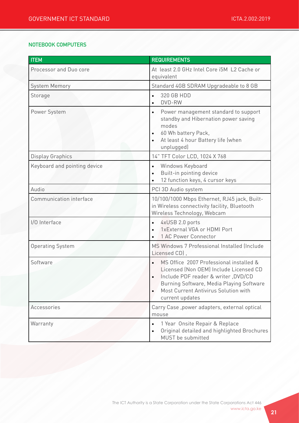#### NOTEBOOK COMPUTERS

| <b>ITEM</b>                  | <b>REQUIREMENTS</b>                                                                                                                                                                                                                          |
|------------------------------|----------------------------------------------------------------------------------------------------------------------------------------------------------------------------------------------------------------------------------------------|
| Processor and Duo core       | At least 2.0 GHz Intel Core i5M L2 Cache or<br>equivalent                                                                                                                                                                                    |
| <b>System Memory</b>         | Standard 4GB SDRAM Upgradeable to 8 GB                                                                                                                                                                                                       |
| Storage                      | 320 GB HDD<br>$\bullet$<br>DVD-RW<br>$\bullet$                                                                                                                                                                                               |
| Power System                 | Power management standard to support<br>$\bullet$<br>standby and Hibernation power saving<br>modes<br>60 Wh battery Pack,<br>$\bullet$<br>At least 4 hour Battery life (when<br>$\bullet$<br>unplugged)                                      |
| <b>Display Graphics</b>      | 14" TFT Color LCD, 1024 X 768                                                                                                                                                                                                                |
| Keyboard and pointing device | Windows Keyboard<br>$\bullet$<br>Built-in pointing device<br>$\bullet$<br>12 function keys, 4 cursor keys<br>$\bullet$                                                                                                                       |
| Audio                        | PCI 3D Audio system                                                                                                                                                                                                                          |
| Communication interface      | 10/100/1000 Mbps Ethernet, RJ45 jack, Built-<br>in Wireless connectivity facility, Bluetooth<br>Wireless Technology, Webcam                                                                                                                  |
| I/O Interface                | 4xUSB 2.0 ports<br>$\bullet$<br>1xExternal VGA or HDMI Port<br>$\bullet$<br>1 AC Power Connector<br>$\bullet$                                                                                                                                |
| <b>Operating System</b>      | MS Windows 7 Professional Installed (Include<br>Licensed CD),                                                                                                                                                                                |
| Software                     | MS Office 2007 Professional installed &<br>Licensed (Non OEM) Include Licensed CD<br>Include PDF reader & writer, DVD/CD<br>Burning Software, Media Playing Software<br>Most Current Antivirus Solution with<br>$\bullet$<br>current updates |
| Accessories                  | Carry Case, power adapters, external optical<br>mouse                                                                                                                                                                                        |
| Warranty                     | 1 Year Onsite Repair & Replace<br>$\bullet$<br>Original detailed and highlighted Brochures<br>$\bullet$<br>MUST be submitted                                                                                                                 |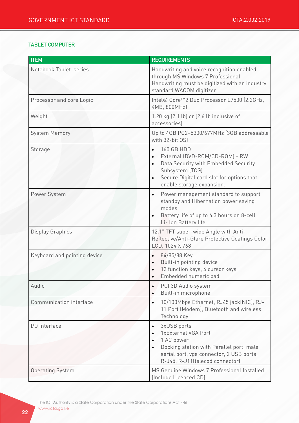#### TABLET COMPUTER

| <b>ITEM</b>                  | <b>REQUIREMENTS</b>                                                                                                                                                                                                             |
|------------------------------|---------------------------------------------------------------------------------------------------------------------------------------------------------------------------------------------------------------------------------|
| Notebook Tablet series       | Handwriting and voice recognition enabled<br>through MS Windows 7 Professional.<br>Handwriting must be digitized with an industry<br>standard WACOM digitizer                                                                   |
| Processor and core Logic     | Intel® Core™2 Duo Processor L7500 (2.2GHz,<br>4MB, 800MHz)                                                                                                                                                                      |
| Weight                       | 1.20 kg (2.1 lb) or (2.6 lb inclusive of<br>accessories)                                                                                                                                                                        |
| <b>System Memory</b>         | Up to 4GB PC2-5300/677MHz (3GB addressable<br>with 32-bit OS)                                                                                                                                                                   |
| Storage                      | 160 GB HDD<br>$\bullet$<br>External (DVD-ROM/CD-ROM) - RW.<br>$\bullet$<br>Data Security with Embedded Security<br>Subsystem (TCG)<br>Secure Digital card slot for options that<br>$\bullet$<br>enable storage expansion.       |
| Power System                 | Power management standard to support<br>$\bullet$<br>standby and Hibernation power saving<br>modes<br>Battery life of up to 6.3 hours on 8-cell<br>$\bullet$<br>Li- lon Battery life                                            |
| <b>Display Graphics</b>      | 12.1" TFT super-wide Angle with Anti-<br>Reflective/Anti-Glare Protective Coatings Color<br>LCD, 1024 X 768                                                                                                                     |
| Keyboard and pointing device | 84/85/88 Key<br>$\bullet$<br>Built-in pointing device<br>$\bullet$<br>12 function keys, 4 cursor keys<br>$\bullet$<br>Embedded numeric pad<br>$\bullet$                                                                         |
| Audio                        | PCI 3D Audio system<br>$\bullet$<br>Built-in microphone<br>$\bullet$                                                                                                                                                            |
| Communication interface      | 10/100Mbps Ethernet, RJ45 jack(NIC), RJ-<br>$\bullet$<br>11 Port (Modem), Bluetooth and wireless<br>Technology                                                                                                                  |
| I/O Interface                | 3xUSB ports<br>$\bullet$<br>1xExternal VGA Port<br>$\bullet$<br>1 AC power<br>$\bullet$<br>Docking station with Parallel port, male<br>$\bullet$<br>serial port, vga connector, 2 USB ports,<br>R-J45, R-J11(telecod connector) |
| <b>Operating System</b>      | MS Genuine Windows 7 Professional Installed<br>(Include Licenced CD)                                                                                                                                                            |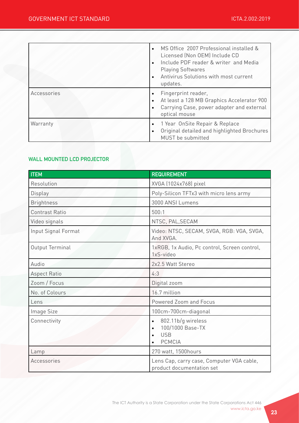|             | MS Office 2007 Professional installed &<br>Licensed (Non OEM) Include CD<br>Include PDF reader & writer and Media<br><b>Playing Softwares</b><br>Antivirus Solutions with most current<br>updates. |
|-------------|----------------------------------------------------------------------------------------------------------------------------------------------------------------------------------------------------|
| Accessories | Fingerprint reader,<br>At least a 128 MB Graphics Accelerator 900<br>Carrying Case, power adapter and external<br>optical mouse                                                                    |
| Warranty    | 1 Year OnSite Repair & Replace<br>Original detailed and highlighted Brochures<br>$\bullet$<br>MUST be submitted                                                                                    |

## WALL MOUNTED LCD PROJECTOR

| <b>ITEM</b>           | <b>REQUIREMENT</b>                                                                                           |
|-----------------------|--------------------------------------------------------------------------------------------------------------|
| Resolution            | XVGA (1024x768) pixel                                                                                        |
| Display               | Poly-Silicon TFTx3 with micro lens army                                                                      |
| <b>Brightness</b>     | 3000 ANSI Lumens                                                                                             |
| <b>Contrast Ratio</b> | 500:1                                                                                                        |
| Video signals         | NTSC, PAL, SECAM                                                                                             |
| Input Signal Format   | Video: NTSC, SECAM, SVGA, RGB: VGA, SVGA,<br>And XVGA.                                                       |
| Output Terminal       | 1xRGB, 1x Audio, Pc control, Screen control,<br>1xS-video                                                    |
| Audio                 | 2x2.5 Watt Stereo                                                                                            |
| Aspect Ratio          | 4:3                                                                                                          |
| Zoom / Focus          | Digital zoom                                                                                                 |
| No. of Colours        | 16.7 million                                                                                                 |
| Lens                  | Powered Zoom and Focus                                                                                       |
| Image Size            | 100cm-700cm-diagonal                                                                                         |
| Connectivity          | 802.11b/g wireless<br>$\bullet$<br>100/1000 Base-TX<br>$\bullet$<br><b>USB</b><br>$\bullet$<br><b>PCMCIA</b> |
| Lamp                  | 270 watt, 1500hours                                                                                          |
| Accessories           | Lens Cap, carry case, Computer VGA cable,<br>product documentation set                                       |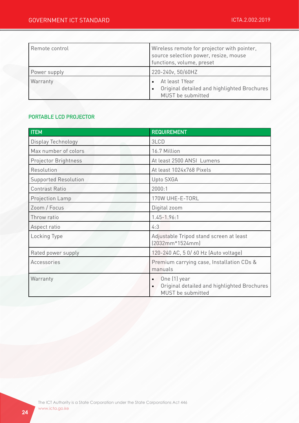| Remote control | Wireless remote for projector with pointer,<br>source selection power, resize, mouse<br>functions, volume, preset |
|----------------|-------------------------------------------------------------------------------------------------------------------|
| Power supply   | 220-240v, 50/60HZ                                                                                                 |
| Warranty       | At least 1Year<br>Original detailed and highlighted Brochures<br>MUST be submitted                                |

#### PORTABLE LCD PROJECTOR

| <b>ITEM</b>                 | <b>REQUIREMENT</b>                                                                                         |
|-----------------------------|------------------------------------------------------------------------------------------------------------|
| Display Technology          | 3LCD                                                                                                       |
| Max number of colors        | 16.7 Million                                                                                               |
| Projector Brightness        | At least 2500 ANSI Lumens                                                                                  |
| Resolution                  | At least 1024x768 Pixels                                                                                   |
| <b>Supported Resolution</b> | Upto SXGA                                                                                                  |
| <b>Contrast Ratio</b>       | 2000:1                                                                                                     |
| Projection Lamp             | 170W UHE-E-TORL                                                                                            |
| Zoom / Focus                | Digital zoom                                                                                               |
| Throw ratio                 | $1.45 - 1.96:1$                                                                                            |
| Aspect ratio                | 4:3                                                                                                        |
| Locking Type                | Adjustable Tripod stand screen at least<br>$(2032mm*1524mm)$                                               |
| Rated power supply          | 120-240 AC, 5 0/60 Hz (Auto voltage)                                                                       |
| Accessories                 | Premium carrying case, Installation CDs &<br>manuals                                                       |
| Warranty                    | One (1) year<br>$\bullet$<br>Original detailed and highlighted Brochures<br>$\bullet$<br>MUST be submitted |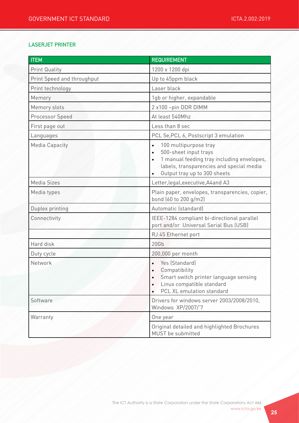## LASERJET PRINTER

| <b>ITEM</b>                | <b>REQUIREMENT</b>                                                                                                                                                                                                           |
|----------------------------|------------------------------------------------------------------------------------------------------------------------------------------------------------------------------------------------------------------------------|
| <b>Print Quality</b>       | 1200 x 1200 dpi                                                                                                                                                                                                              |
| Print Speed and throughput | Up to 45ppm black                                                                                                                                                                                                            |
| Print technology           | Laser black                                                                                                                                                                                                                  |
| Memory                     | 1gb or higher, expandable                                                                                                                                                                                                    |
| Memory slots               | 2 x100 -pin DDR DIMM                                                                                                                                                                                                         |
| Processor Speed            | At least 540Mhz                                                                                                                                                                                                              |
| First page out             | Less than 8 sec                                                                                                                                                                                                              |
| Languages                  | PCL 5e, PCL 6, Postscript 3 emulation                                                                                                                                                                                        |
| <b>Media Capacity</b>      | 100 multipurpose tray<br>$\bullet$<br>500-sheet input trays<br>$\bullet$<br>1 manual feeding tray including envelopes,<br>$\bullet$<br>labels, transparencies and special media<br>Output tray up to 300 sheets<br>$\bullet$ |
| Media Sizes                | Letter, legal, executive, A4 and A3                                                                                                                                                                                          |
| Media types                | Plain paper, envelopes, transparencies, copier,<br>bond (60 to 200 g/m2)                                                                                                                                                     |
| Duplex printing            | Automatic (standard)                                                                                                                                                                                                         |
| Connectivity               | IEEE-1284 compliant bi-directional parallel<br>port and/or Universal Serial Bus (USB)                                                                                                                                        |
|                            | RJ 45 Ethernet port                                                                                                                                                                                                          |
| Hard disk                  | 20Gb                                                                                                                                                                                                                         |
| Duty cycle                 | 200,000 per month                                                                                                                                                                                                            |
| Network                    | Yes (Standard)<br>$\bullet$<br>Compatibility<br>$\bullet$<br>Smart switch printer language sensing<br>$\bullet$<br>Linux compatible standard<br>$\bullet$<br>PCL XL emulation standard<br>$\bullet$                          |
| Software                   | Drivers for windows server 2003/2008/2010,<br>Windows XP/2007/7                                                                                                                                                              |
| Warranty                   | One year                                                                                                                                                                                                                     |
|                            | Original detailed and highlighted Brochures<br>MUST be submitted                                                                                                                                                             |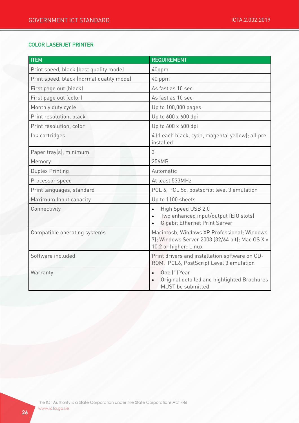#### COLOR LASERJET PRINTER

| <b>ITEM</b>                              | <b>REQUIREMENT</b>                                                                                                            |
|------------------------------------------|-------------------------------------------------------------------------------------------------------------------------------|
| Print speed, black (best quality mode)   | 40ppm                                                                                                                         |
| Print speed, black (normal quality mode) | 40 ppm                                                                                                                        |
| First page out (black)                   | As fast as 10 sec                                                                                                             |
| First page out (color)                   | As fast as 10 sec                                                                                                             |
| Monthly duty cycle                       | Up to 100,000 pages                                                                                                           |
| Print resolution, black                  | Up to 600 x 600 dpi                                                                                                           |
| Print resolution, color                  | Up to 600 x 600 dpi                                                                                                           |
| Ink cartridges                           | 4 (1 each black, cyan, magenta, yellow); all pre-<br>installed                                                                |
| Paper tray(s), minimum                   | 3                                                                                                                             |
| Memory                                   | 256MB                                                                                                                         |
| <b>Duplex Printing</b>                   | Automatic                                                                                                                     |
| Processor speed                          | At least 533MHz                                                                                                               |
| Print languages, standard                | PCL 6, PCL 5c, postscript level 3 emulation                                                                                   |
| Maximum Input capacity                   | Up to 1100 sheets                                                                                                             |
| Connectivity                             | High Speed USB 2.0<br>$\bullet$<br>Two enhanced input/output (EIO slots)<br>$\bullet$<br><b>Gigabit Ethernet Print Server</b> |
| Compatible operating systems             | Macintosh, Windows XP Professional; Windows<br>7); Windows Server 2003 (32/64 bit); Mac OS X v<br>10.2 or higher; Linux       |
| Software included                        | Print drivers and installation software on CD-<br>ROM, PCL6, PostScript Level 3 emulation                                     |
| Warranty                                 | One [1] Year<br>$\bullet$<br>Original detailed and highlighted Brochures<br>MUST be submitted                                 |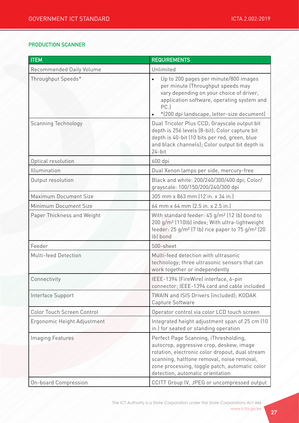#### PRODUCTION SCANNER

| <b>ITEM</b>                  | <b>REQUIREMENTS</b>                                                                                                                                                                                                                                                      |
|------------------------------|--------------------------------------------------------------------------------------------------------------------------------------------------------------------------------------------------------------------------------------------------------------------------|
| Recommended Daily Volume     | Unlimited                                                                                                                                                                                                                                                                |
| Throughput Speeds*           | Up to 200 pages per minute/800 images<br>$\bullet$<br>per minute (Throughput speeds may<br>vary depending on your choice of driver,<br>application software, operating system and<br>PC.<br>*(200 dpi landscape, letter-size document)                                   |
| <b>Scanning Technology</b>   | Dual Tricolor Plus CCD; Grayscale output bit<br>depth is 256 levels (8-bit); Color capture bit<br>depth is 40-bit (10 bits per red, green, blue<br>and black channels); Color output bit depth is<br>$24$ -bit                                                           |
| Optical resolution           | 600 dpi                                                                                                                                                                                                                                                                  |
| Illumination                 | Dual Xenon lamps per side, mercury-free                                                                                                                                                                                                                                  |
| Output resolution            | Black and white: 200/240/300/400 dpi; Color/<br>grayscale: 100/150/200/240/300 dpi                                                                                                                                                                                       |
| <b>Maximum Document Size</b> | 305 mm x 863 mm (12 in. x 34 in.)                                                                                                                                                                                                                                        |
| Minimum Document Size        | 64 mm x 64 mm (2.5 in. x 2.5 in.)                                                                                                                                                                                                                                        |
| Paper Thickness and Weight   | With standard feeder: 45 g/m <sup>2</sup> (12 lb) bond to<br>200 g/m <sup>2</sup> (110lb) index; With ultra-lightweight<br>feeder: 25 g/m <sup>2</sup> (7 lb) rice paper to 75 g/m <sup>2</sup> (20<br>lb) bond                                                          |
| Feeder                       | 500-sheet                                                                                                                                                                                                                                                                |
| Multi-feed Detection         | Multi-feed detection with ultrasonic<br>technology; three ultrasonic sensors that can<br>work together or independently                                                                                                                                                  |
| Connectivity                 | IEEE-1394 (FireWire) interface, 6-pin<br>connector; IEEE-1394 card and cable included                                                                                                                                                                                    |
| Interface Support            | TWAIN and ISIS Drivers (included); KODAK<br>Capture Software                                                                                                                                                                                                             |
| Color Touch Screen Control   | Operator control via color LCD touch screen                                                                                                                                                                                                                              |
| Ergonomic Height Adjustment  | Integrated height adjustment span of 25 cm (10<br>in.) for seated or standing operation                                                                                                                                                                                  |
| <b>Imaging Features</b>      | Perfect Page Scanning, iThresholding,<br>autocrop, aggressive crop, deskew, image<br>rotation, electronic color dropout, dual stream<br>scanning, halftone removal, noise removal,<br>zone processing, toggle patch, automatic color<br>detection, automatic orientation |
| <b>On-board Compression</b>  | CCITT Group IV, JPEG or uncompressed output                                                                                                                                                                                                                              |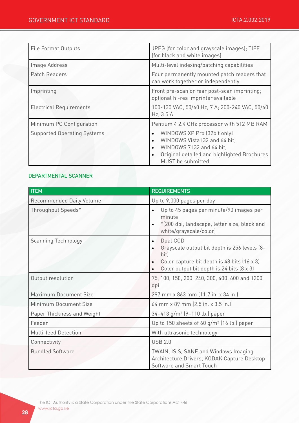| File Format Outputs                | JPEG (for color and grayscale images); TIFF<br>(for black and white images)                                                                                                                          |
|------------------------------------|------------------------------------------------------------------------------------------------------------------------------------------------------------------------------------------------------|
| Image Address                      | Multi-level indexing/batching capabilities                                                                                                                                                           |
| Patch Readers                      | Four permanently mounted patch readers that<br>can work together or independently                                                                                                                    |
| Imprinting                         | Front pre-scan or rear post-scan imprinting;<br>optional hi-res imprinter available                                                                                                                  |
| <b>Electrical Requirements</b>     | 100-130 VAC, 50/60 Hz, 7 A; 200-240 VAC, 50/60<br>Hz, 3.5 A                                                                                                                                          |
| Minimum PC Configuration           | Pentium 4 2.4 GHz processor with 512 MB RAM                                                                                                                                                          |
| <b>Supported Operating Systems</b> | WINDOWS XP Pro (32bit only)<br>$\bullet$<br>WINDOWS Vista (32 and 64 bit)<br>$\bullet$<br>WINDOWS 7 (32 and 64 bit)<br>Original detailed and highlighted Brochures<br>$\bullet$<br>MUST be submitted |

## DEPARTMENTAL SCANNER

| <b>ITEM</b>                  | <b>REQUIREMENTS</b>                                                                                                                                                       |
|------------------------------|---------------------------------------------------------------------------------------------------------------------------------------------------------------------------|
| Recommended Daily Volume     | Up to 9,000 pages per day                                                                                                                                                 |
| Throughput Speeds*           | Up to 45 pages per minute/90 images per<br>$\bullet$<br>minute<br>*(200 dpi, landscape, letter size, black and<br>$\bullet$<br>white/grayscale/color)                     |
| <b>Scanning Technology</b>   | Dual CCD<br>$\bullet$<br>Grayscale output bit depth is 256 levels (8-<br>bit)<br>Color capture bit depth is 48 bits (16 x 3)<br>Color output bit depth is 24 bits (8 x 3) |
| Output resolution            | 75, 100, 150, 200, 240, 300, 400, 600 and 1200<br>dpi                                                                                                                     |
| <b>Maximum Document Size</b> | 297 mm x 863 mm (11.7 in. x 34 in.)                                                                                                                                       |
| Minimum Document Size        | 64 mm x 89 mm (2.5 in. x 3.5 in.)                                                                                                                                         |
| Paper Thickness and Weight   | 34-413 g/m <sup>2</sup> (9-110 lb.) paper                                                                                                                                 |
| Feeder                       | Up to 150 sheets of 60 g/m <sup>2</sup> (16 lb.) paper                                                                                                                    |
| Multi-feed Detection         | With ultrasonic technology                                                                                                                                                |
| Connectivity                 | <b>USB 2.0</b>                                                                                                                                                            |
| <b>Bundled Software</b>      | TWAIN, ISIS, SANE and Windows Imaging<br>Architecture Drivers, KODAK Capture Desktop<br>Software and Smart Touch                                                          |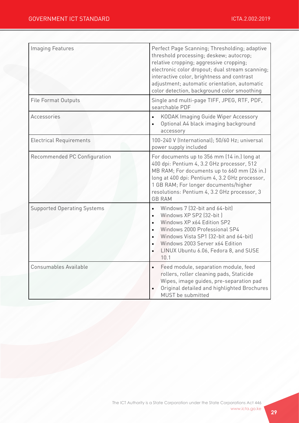| <b>Imaging Features</b>            | Perfect Page Scanning; Thresholding; adaptive<br>threshold processing; deskew; autocrop;<br>relative cropping; aggressive cropping;<br>electronic color dropout; dual stream scanning;<br>interactive color, brightness and contrast<br>adjustment; automatic orientation, automatic<br>color detection, background color smoothing             |
|------------------------------------|-------------------------------------------------------------------------------------------------------------------------------------------------------------------------------------------------------------------------------------------------------------------------------------------------------------------------------------------------|
| <b>File Format Outputs</b>         | Single and multi-page TIFF, JPEG, RTF, PDF,<br>searchable PDF                                                                                                                                                                                                                                                                                   |
| Accessories                        | KODAK Imaging Guide Wiper Accessory<br>$\bullet$<br>Optional A4 black imaging background<br>$\bullet$<br>accessory                                                                                                                                                                                                                              |
| <b>Electrical Requirements</b>     | 100-240 V (International); 50/60 Hz; universal<br>power supply included                                                                                                                                                                                                                                                                         |
| Recommended PC Configuration       | For documents up to 356 mm (14 in.) long at<br>400 dpi: Pentium 4, 3.2 GHz processor, 512<br>MB RAM; For documents up to 660 mm (26 in.)<br>long at 400 dpi: Pentium 4, 3.2 GHz processor,<br>1 GB RAM; For longer documents/higher<br>resolutions: Pentium 4, 3.2 GHz processor, 3<br><b>GB RAM</b>                                            |
| <b>Supported Operating Systems</b> | Windows 7 (32-bit and 64-bit)<br>$\bullet$<br>Windows XP SP2 (32-bit)<br>$\bullet$<br>Windows XP x64 Edition SP2<br>$\bullet$<br>Windows 2000 Professional SP4<br>$\bullet$<br>Windows Vista SP1 (32-bit and 64-bit)<br>$\bullet$<br>Windows 2003 Server x64 Edition<br>$\bullet$<br>LINUX Ubuntu 6.06, Fedora 8, and SUSE<br>$\bullet$<br>10.1 |
| Consumables Available              | Feed module, separation module, feed<br>$\bullet$<br>rollers, roller cleaning pads, Staticide<br>Wipes, image guides, pre-separation pad<br>Original detailed and highlighted Brochures<br>MUST be submitted                                                                                                                                    |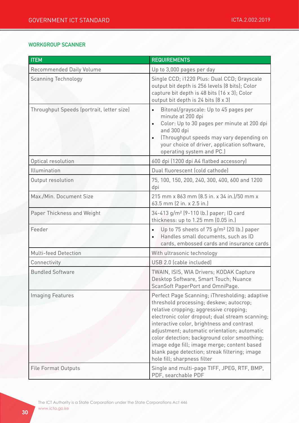#### WORKGROUP SCANNER

| <b>ITEM</b>                               | <b>REQUIREMENTS</b>                                                                                                                                                                                                                                                                                                                                                                                                                                                  |
|-------------------------------------------|----------------------------------------------------------------------------------------------------------------------------------------------------------------------------------------------------------------------------------------------------------------------------------------------------------------------------------------------------------------------------------------------------------------------------------------------------------------------|
| Recommended Daily Volume                  | Up to 3,000 pages per day                                                                                                                                                                                                                                                                                                                                                                                                                                            |
| <b>Scanning Technology</b>                | Single CCD; i1220 Plus: Dual CCD; Grayscale<br>output bit depth is 256 levels (8 bits); Color<br>capture bit depth is 48 bits (16 x 3); Color<br>output bit depth is 24 bits (8 x 3)                                                                                                                                                                                                                                                                                 |
| Throughput Speeds (portrait, letter size) | Bitonal/grayscale: Up to 45 pages per<br>$\bullet$<br>minute at 200 dpi<br>Color: Up to 30 pages per minute at 200 dpi<br>and 300 dpi<br>(Throughput speeds may vary depending on<br>$\bullet$<br>your choice of driver, application software,<br>operating system and PC.)                                                                                                                                                                                          |
| Optical resolution                        | 600 dpi (1200 dpi A4 flatbed accessory)                                                                                                                                                                                                                                                                                                                                                                                                                              |
| Illumination                              | Dual fluorescent (cold cathode)                                                                                                                                                                                                                                                                                                                                                                                                                                      |
| Output resolution                         | 75, 100, 150, 200, 240, 300, 400, 600 and 1200<br>dpi                                                                                                                                                                                                                                                                                                                                                                                                                |
| Max./Min. Document Size                   | 215 mm x 863 mm (8.5 in. x 34 in.)/50 mm x<br>63.5 mm (2 in. x 2.5 in.)                                                                                                                                                                                                                                                                                                                                                                                              |
| Paper Thickness and Weight                | 34-413 g/m <sup>2</sup> (9-110 lb.) paper; ID card<br>thickness: up to 1.25 mm (0.05 in.)                                                                                                                                                                                                                                                                                                                                                                            |
| Feeder                                    | Up to 75 sheets of 75 g/m <sup>2</sup> (20 lb.) paper<br>$\bullet$<br>Handles small documents, such as ID<br>$\bullet$<br>cards, embossed cards and insurance cards                                                                                                                                                                                                                                                                                                  |
| Multi-feed Detection                      | With ultrasonic technology                                                                                                                                                                                                                                                                                                                                                                                                                                           |
| Connectivity                              | USB 2.0 (cable included)                                                                                                                                                                                                                                                                                                                                                                                                                                             |
| <b>Bundled Software</b>                   | TWAIN, ISIS, WIA Drivers; KODAK Capture<br>Desktop Software, Smart Touch; Nuance<br>ScanSoft PaperPort and OmniPage.                                                                                                                                                                                                                                                                                                                                                 |
| <b>Imaging Features</b>                   | Perfect Page Scanning; iThresholding; adaptive<br>threshold processing; deskew; autocrop;<br>relative cropping; aggressive cropping;<br>electronic color dropout; dual stream scanning;<br>interactive color, brightness and contrast<br>adjustment; automatic orientation; automatic<br>color detection; background color smoothing;<br>image edge fill; image merge; content based<br>blank page detection; streak filtering; image<br>hole fill; sharpness filter |
| <b>File Format Outputs</b>                | Single and multi-page TIFF, JPEG, RTF, BMP,<br>PDF, searchable PDF                                                                                                                                                                                                                                                                                                                                                                                                   |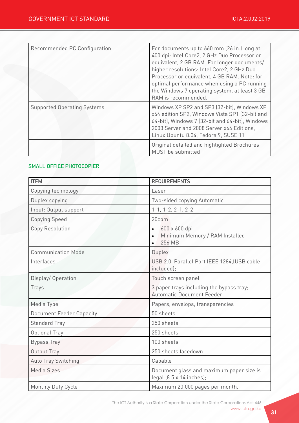| Recommended PC Configuration       | For documents up to 660 mm (26 in.) long at<br>400 dpi: Intel Core2, 2 GHz Duo Processor or<br>equivalent, 2 GB RAM. For longer documents/<br>higher resolutions: Intel Core2, 2 GHz Duo<br>Processor or equivalent, 4 GB RAM. Note: for<br>optimal performance when using a PC running<br>the Windows 7 operating system, at least 3 GB<br>RAM is recommended. |
|------------------------------------|-----------------------------------------------------------------------------------------------------------------------------------------------------------------------------------------------------------------------------------------------------------------------------------------------------------------------------------------------------------------|
| <b>Supported Operating Systems</b> | Windows XP SP2 and SP3 (32-bit), Windows XP<br>x64 edition SP2, Windows Vista SP1 (32-bit and<br>64-bit), Windows 7 (32-bit and 64-bit), Windows<br>2003 Server and 2008 Server x64 Editions,<br>Linux Ubuntu 8.04, Fedora 9, SUSE 11                                                                                                                           |
|                                    | Original detailed and highlighted Brochures<br>MUST be submitted                                                                                                                                                                                                                                                                                                |

#### SMALL OFFICE PHOTOCOPIER

| <b>ITEM</b>                     | <b>REQUIREMENTS</b>                                                                              |
|---------------------------------|--------------------------------------------------------------------------------------------------|
| Copying technology              | Laser                                                                                            |
| Duplex copying                  | Two-sided copying Automatic                                                                      |
| Input: Output support           | $1-1, 1-2, 2-1, 2-2$                                                                             |
| <b>Copying Speed</b>            | 20cpm                                                                                            |
| Copy Resolution                 | 600 x 600 dpi<br>$\bullet$<br>Minimum Memory / RAM Installed<br>$\bullet$<br>256 MB<br>$\bullet$ |
| <b>Communication Mode</b>       | Duplex                                                                                           |
| Interfaces                      | USB 2.0 Parallel Port IEEE 1284, [USB cable<br>included);                                        |
| Display/Operation               | Touch screen panel                                                                               |
| Trays                           | 3 paper trays including the bypass tray;<br><b>Automatic Document Feeder</b>                     |
| Media Type                      | Papers, envelops, transparencies                                                                 |
| <b>Document Feeder Capacity</b> | 50 sheets                                                                                        |
| <b>Standard Tray</b>            | 250 sheets                                                                                       |
| Optional Tray                   | 250 sheets                                                                                       |
| <b>Bypass Tray</b>              | 100 sheets                                                                                       |
| Output Tray                     | 250 sheets facedown                                                                              |
| <b>Auto Tray Switching</b>      | Capable                                                                                          |
| <b>Media Sizes</b>              | Document glass and maximum paper size is<br>legal $(8.5 \times 14 \text{ inches})$ ;             |
| Monthly Duty Cycle              | Maximum 20,000 pages per month.                                                                  |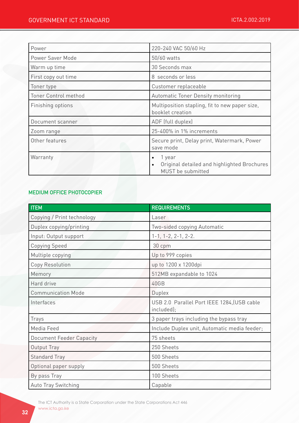| Power                       | 220-240 VAC 50/60 Hz                                                                                 |
|-----------------------------|------------------------------------------------------------------------------------------------------|
| Power Saver Mode            | 50/60 watts                                                                                          |
| Warm up time                | 30 Seconds max                                                                                       |
| First copy out time         | 8 seconds or less                                                                                    |
| Toner type                  | Customer replaceable                                                                                 |
| <b>Toner Control method</b> | Automatic Toner Density monitoring                                                                   |
| Finishing options           | Multiposition stapling, fit to new paper size,<br>booklet creation                                   |
| Document scanner            | ADF (full duplex)                                                                                    |
| Zoom range                  | 25-400% in 1% increments                                                                             |
| Other features              | Secure print, Delay print, Watermark, Power<br>save mode                                             |
| Warranty                    | 1 year<br>$\bullet$<br>Original detailed and highlighted Brochures<br>$\bullet$<br>MUST be submitted |

## MEDIUM OFFICE PHOTOCOPIER

| <b>ITEM</b>                     | <b>REQUIREMENTS</b>                                       |
|---------------------------------|-----------------------------------------------------------|
| Copying / Print technology      | Laser                                                     |
| Duplex copying/printing         | Two-sided copying Automatic                               |
| Input: Output support           | $1-1$ , $1-2$ , $2-1$ , $2-2$ .                           |
| <b>Copying Speed</b>            | 30 cpm                                                    |
| Multiple copying                | Up to 999 copies                                          |
| Copy Resolution                 | up to 1200 x 1200dpi                                      |
| Memory                          | 512MB expandable to 1024                                  |
| Hard drive                      | 40GB                                                      |
| <b>Communication Mode</b>       | Duplex                                                    |
| Interfaces                      | USB 2.0 Parallel Port IEEE 1284, (USB cable<br>included); |
| Trays                           | 3 paper trays including the bypass tray                   |
| Media Feed                      | Include Duplex unit, Automatic media feeder;              |
| <b>Document Feeder Capacity</b> | 75 sheets                                                 |
| Output Tray                     | 250 Sheets                                                |
| <b>Standard Tray</b>            | 500 Sheets                                                |
| Optional paper supply           | 500 Sheets                                                |
| By pass Tray                    | 100 Sheets                                                |
| <b>Auto Tray Switching</b>      | Capable                                                   |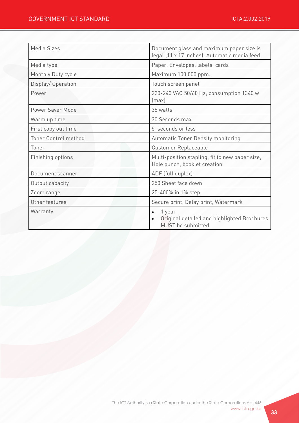| <b>Media Sizes</b>          | Document glass and maximum paper size is<br>legal (11 x 17 inches); Automatic media feed. |
|-----------------------------|-------------------------------------------------------------------------------------------|
| Media type                  | Paper, Envelopes, labels, cards                                                           |
| Monthly Duty cycle          | Maximum 100,000 ppm.                                                                      |
| Display/Operation           | Touch screen panel                                                                        |
| Power                       | 220-240 VAC 50/60 Hz; consumption 1340 w<br>(max)                                         |
| Power Saver Mode            | 35 watts                                                                                  |
| Warm up time                | 30 Seconds max                                                                            |
| First copy out time         | 5 seconds or less                                                                         |
| <b>Toner Control method</b> | Automatic Toner Density monitoring                                                        |
| Toner                       | <b>Customer Replaceable</b>                                                               |
| Finishing options           | Multi-position stapling, fit to new paper size,<br>Hole punch, booklet creation           |
| Document scanner            | ADF (full duplex)                                                                         |
| Output capacity             | 250 Sheet face down                                                                       |
| Zoom range                  | 25-400% in 1% step                                                                        |
| Other features              | Secure print, Delay print, Watermark                                                      |
| Warranty                    | 1 year<br>$\bullet$<br>Original detailed and highlighted Brochures<br>MUST be submitted   |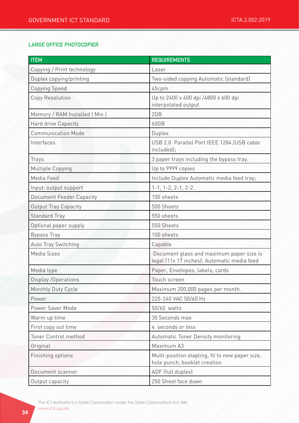## LARGE OFFICE PHOTOCOPIER

| <b>ITEM</b>                     | <b>REQUIREMENTS</b>                                                                     |
|---------------------------------|-----------------------------------------------------------------------------------------|
| Copying / Print technology      | Laser                                                                                   |
| Duplex copying/printing         | Two-sided copying Automatic (standard)                                                  |
| <b>Copying Speed</b>            | 45cpm                                                                                   |
| Copy Resolution                 | Up to 2400 x 600 dpi /4800 x 600 dpi<br>interpolated output                             |
| Memory / RAM Installed (Min)    | 2GB                                                                                     |
| Hard drive Capacity             | 60GB                                                                                    |
| <b>Communication Mode</b>       | Duplex                                                                                  |
| Interfaces                      | USB 2.0 Parallel Port IEEE 1284, (USB cable<br>included);                               |
| Trays                           | 3 paper trays including the bypass tray.                                                |
| Multiple Copying                | Up to 9999 copies                                                                       |
| Media Feed                      | Include Duplex Automatic media feed tray;                                               |
| Input: output support           | $1-1$ , $1-2$ , $2-1$ , $2-2$ .                                                         |
| <b>Document Feeder Capacity</b> | 100 sheets                                                                              |
| <b>Output Tray Capacity</b>     | 500 Sheets                                                                              |
| <b>Standard Tray</b>            | 550 sheets                                                                              |
| Optional paper supply           | 550 Sheets                                                                              |
| <b>Bypass Tray</b>              | 100 sheets                                                                              |
| <b>Auto Tray Switching</b>      | Capable                                                                                 |
| Media Sizes                     | Document glass and maximum paper size is<br>legal (11x 17 inches); Automatic media feed |
| Media type                      | Paper, Envelopes, labels, cards                                                         |
| Display / Operations            | Touch screen                                                                            |
| Monthly Duty Cycle              | Maximum 200,000 pages per month.                                                        |
| Power                           | 220-240 VAC 50/60 Hz                                                                    |
| Power Saver Mode                | 50/60 watts                                                                             |
| Warm up time                    | 30 Seconds max                                                                          |
| First copy out time             | 4 seconds or less                                                                       |
| Toner Control method            | Automatic Toner Density monitoring                                                      |
| Original                        | Maximum A3                                                                              |
| Finishing options               | Multi-position stapling, fit to new paper size,<br>hole punch, booklet creation         |
| Document scanner                | ADF (full duplex)                                                                       |
| Output capacity                 | 250 Sheet face down                                                                     |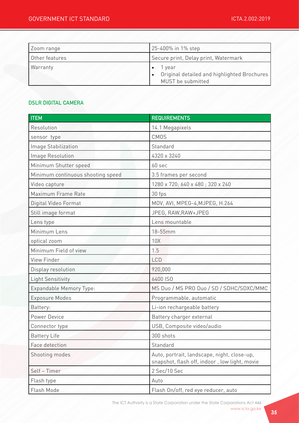| Zoom range     | 25-400% in 1% step                                                         |
|----------------|----------------------------------------------------------------------------|
| Other features | Secure print, Delay print, Watermark                                       |
| Warranty       | 1 vear<br>Original detailed and highlighted Brochures<br>MUST be submitted |

## DSLR DIGITAL CAMERA

| <b>ITEM</b>                       | <b>REQUIREMENTS</b>                                                                          |
|-----------------------------------|----------------------------------------------------------------------------------------------|
| Resolution                        | 14.1 Megapixels                                                                              |
| sensor type                       | <b>CMOS</b>                                                                                  |
| Image Stabilization               | Standard                                                                                     |
| Image Resolution                  | 4320 x 3240                                                                                  |
| Minimum Shutter speed             | 60 sec                                                                                       |
| Minimum continuous shooting speed | 3.5 frames per second                                                                        |
| Video capture                     | 1280 x 720; 640 x 480; 320 x 240                                                             |
| Maximum Frame Rate                | 30 fps                                                                                       |
| Digital Video Format              | MOV, AVI, MPEG-4, MJPEG, H.264                                                               |
| Still image format                | JPEG, RAW, RAW+JPEG                                                                          |
| Lens type                         | Lens mountable                                                                               |
| Minimum Lens                      | 18-55mm                                                                                      |
| optical zoom                      | 10X                                                                                          |
| Minimum Field of view             | 1.5                                                                                          |
| View Finder                       | <b>LCD</b>                                                                                   |
| Display resolution                | 920,000                                                                                      |
| Light Sensitivity                 | 6400 ISO                                                                                     |
| Expandable Memory Type:           | MS Duo / MS PRO Duo / SD / SDHC/SDXC/MMC                                                     |
| <b>Exposure Modes</b>             | Programmable, automatic                                                                      |
| Battery:                          | Li-ion rechargeable battery                                                                  |
| Power Device                      | Battery charger external                                                                     |
| Connector type                    | USB, Composite video/audio                                                                   |
| <b>Battery Life</b>               | 300 shots                                                                                    |
| Face detection                    | Standard                                                                                     |
| Shooting modes                    | Auto, portrait, landscape, night, close-up,<br>snapshot, flash off, indoor, low light, movie |
| Self - Timer                      | 2 Sec/10 Sec                                                                                 |
| Flash type                        | Auto                                                                                         |
| Flash Mode                        | Flash On/off, red eye reducer, auto                                                          |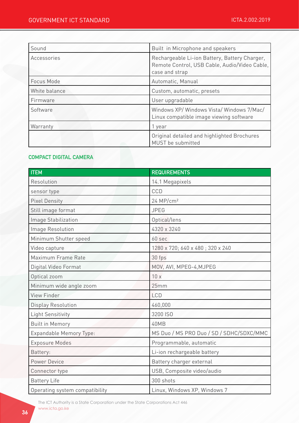| Sound         | Built in Microphone and speakers                                                                                 |
|---------------|------------------------------------------------------------------------------------------------------------------|
| Accessories   | Rechargeable Li-ion Battery, Battery Charger,<br>Remote Control, USB Cable, Audio/Video Cable,<br>case and strap |
| Focus Mode    | Automatic, Manual                                                                                                |
| White balance | Custom, automatic, presets                                                                                       |
| Firmware      | User upgradable                                                                                                  |
| Software      | Windows XP/Windows Vista/Windows 7/Mac/<br>Linux compatible image viewing software                               |
| Warranty      | 1 year                                                                                                           |
|               | Original detailed and highlighted Brochures<br>MUST be submitted                                                 |

## COMPACT DIGITAL CAMERA

| <b>ITEM</b>                    | <b>REQUIREMENTS</b>                      |
|--------------------------------|------------------------------------------|
| Resolution                     | 14.1 Megapixels                          |
| sensor type                    | CCD                                      |
| <b>Pixel Density</b>           | 24 MP/cm <sup>2</sup>                    |
| Still image format             | <b>JPEG</b>                              |
| Image Stabilization            | Optical/lens                             |
| <b>Image Resolution</b>        | 4320 x 3240                              |
| Minimum Shutter speed          | 60 sec                                   |
| Video capture                  | 1280 x 720; 640 x 480; 320 x 240         |
| Maximum Frame Rate             | 30 fps                                   |
| Digital Video Format           | MOV, AVI, MPEG-4, MJPEG                  |
| Optical zoom                   | 10x                                      |
| Minimum wide angle zoom        | 25mm                                     |
| <b>View Finder</b>             | <b>LCD</b>                               |
| <b>Display Resolution</b>      | 460,000                                  |
| <b>Light Sensitivity</b>       | 3200 ISO                                 |
| <b>Built in Memory</b>         | 40MB                                     |
| Expandable Memory Type:        | MS Duo / MS PRO Duo / SD / SDHC/SDXC/MMC |
| <b>Exposure Modes</b>          | Programmable, automatic                  |
| Battery:                       | Li-ion rechargeable battery              |
| <b>Power Device</b>            | Battery charger external                 |
| Connector type                 | USB, Composite video/audio               |
| <b>Battery Life</b>            | 300 shots                                |
| Operating system compatibility | Linux, Windows XP, Windows 7             |

The ICT Authority is a State Corporation under the State Corporations Act 446 www.icta.go.ke www.icta.go.ke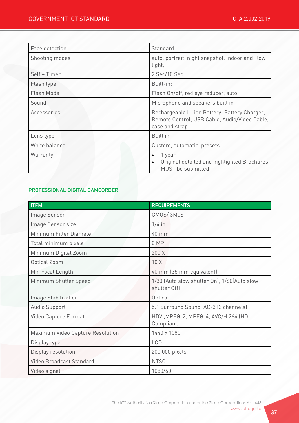| Face detection | Standard                                                                                                         |
|----------------|------------------------------------------------------------------------------------------------------------------|
| Shooting modes | auto, portrait, night snapshot, indoor and<br>low<br>light,                                                      |
| Self - Timer   | 2 Sec/10 Sec                                                                                                     |
| Flash type     | Built-in:                                                                                                        |
| Flash Mode     | Flash On/off, red eye reducer, auto                                                                              |
| Sound          | Microphone and speakers built in                                                                                 |
| Accessories    | Rechargeable Li-ion Battery, Battery Charger,<br>Remote Control, USB Cable, Audio/Video Cable,<br>case and strap |
| Lens type      | Built in                                                                                                         |
| White balance  | Custom, automatic, presets                                                                                       |
| Warranty       | 1 year<br>$\bullet$<br>Original detailed and highlighted Brochures<br>$\bullet$<br>MUST be submitted             |

## PROFESSIONAL DIGITAL CAMCORDER

| <b>ITEM</b>                      | <b>REQUIREMENTS</b>                                         |
|----------------------------------|-------------------------------------------------------------|
| Image Sensor                     | CMOS/3M0S                                                   |
| Image Sensor size                | $1/4$ in                                                    |
| Minimum Filter Diameter          | $40$ mm                                                     |
| Total minimum pixels             | 8 MP                                                        |
| Minimum Digital Zoom             | 200 X                                                       |
| Optical Zoom                     | 10X                                                         |
| Min Focal Length                 | 40 mm (35 mm equivalent)                                    |
| Minimum Shutter Speed            | 1/30 (Auto slow shutter On); 1/60(Auto slow<br>shutter Off) |
| Image Stabilization              | Optical                                                     |
| Audio Support                    | 5.1 Surround Sound, AC-3 (2 channels)                       |
| Video Capture Format             | HDV, MPEG-2, MPEG-4, AVC/H.264 (HD<br>Compliant)            |
| Maximum Video Capture Resolution | 1440 x 1080                                                 |
| Display type                     | <b>LCD</b>                                                  |
| Display resolution               | 200,000 pixels                                              |
| Video Broadcast Standard         | <b>NTSC</b>                                                 |
| Video signal                     | 1080/60i                                                    |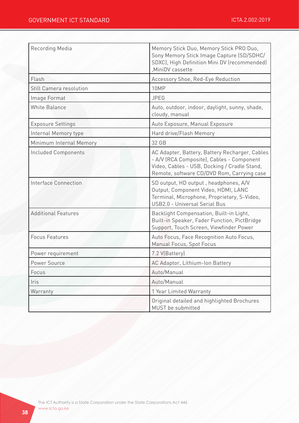| Recording Media                | Memory Stick Duo, Memory Stick PRO Duo,<br>Sony Memory Stick Image Capture (SD/SDHC/<br>SDXC), High Definition Mini DV (recommended)<br>, MiniDV cassette                                 |
|--------------------------------|-------------------------------------------------------------------------------------------------------------------------------------------------------------------------------------------|
| Flash                          | Accessory Shoe, Red-Eye Reduction                                                                                                                                                         |
| <b>Still Camera resolution</b> | 10MP                                                                                                                                                                                      |
| Image Format                   | <b>JPEG</b>                                                                                                                                                                               |
| <b>White Balance</b>           | Auto, outdoor, indoor, daylight, sunny, shade,<br>cloudy, manual                                                                                                                          |
| <b>Exposure Settings</b>       | Auto Exposure, Manual Exposure                                                                                                                                                            |
| Internal Memory type           | Hard drive/Flash Memory                                                                                                                                                                   |
| Minimum Internal Memory        | 32 GB                                                                                                                                                                                     |
| <b>Included Components</b>     | AC Adapter, Battery, Battery Recharger, Cables<br>- A/V (RCA Composite), Cables - Component<br>Video, Cables - USB, Docking / Cradle Stand,<br>Remote, software CD/DVD Rom, Carrying case |
| Interface Connection           | SD output, HD output, headphones, A/V<br>Output, Component Video, HDMI, LANC<br>Terminal, Microphone, Proprietary, S-Video,<br>USB2.0 - Universal Serial Bus                              |
| <b>Additional Features</b>     | Backlight Compensation, Built-in Light,<br>Built-in Speaker, Fader Function, PictBridge<br>Support, Touch Screen, Viewfinder Power                                                        |
| <b>Focus Features</b>          | Auto Focus, Face Recognition Auto Focus,<br>Manual Focus, Spot Focus                                                                                                                      |
| Power requirement              | 7.2 V(Battery)                                                                                                                                                                            |
| Power Source                   | AC Adaptor, Lithium-Ion Battery                                                                                                                                                           |
| Focus                          | Auto/Manual                                                                                                                                                                               |
| Iris                           | Auto/Manual                                                                                                                                                                               |
| Warranty                       | 1 Year Limited Warranty                                                                                                                                                                   |
|                                | Original detailed and highlighted Brochures<br>MUST be submitted                                                                                                                          |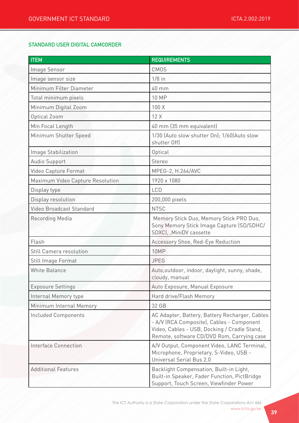## STANDARD USER DIGITAL CAMCORDER

| <b>ITEM</b>                      | <b>REQUIREMENTS</b>                                                                                                                                                                       |
|----------------------------------|-------------------------------------------------------------------------------------------------------------------------------------------------------------------------------------------|
| Image Sensor                     | <b>CMOS</b>                                                                                                                                                                               |
| Image sensor size                | $1/8$ in                                                                                                                                                                                  |
| Minimum Filter Diameter          | 40 mm                                                                                                                                                                                     |
| Total minimum pixels             | <b>10 MP</b>                                                                                                                                                                              |
| Minimum Digital Zoom             | 100 X                                                                                                                                                                                     |
| Optical Zoom                     | 12X                                                                                                                                                                                       |
| Min Focal Length                 | 40 mm (35 mm equivalent)                                                                                                                                                                  |
| Minimum Shutter Speed            | 1/30 (Auto slow shutter On); 1/60(Auto slow<br>shutter Off)                                                                                                                               |
| Image Stabilization              | Optical                                                                                                                                                                                   |
| Audio Support                    | Stereo                                                                                                                                                                                    |
| Video Capture Format             | MPEG-2, H.264/AVC                                                                                                                                                                         |
| Maximum Video Capture Resolution | 1920 x 1080                                                                                                                                                                               |
| Display type                     | <b>LCD</b>                                                                                                                                                                                |
| Display resolution               | 200,000 pixels                                                                                                                                                                            |
| <b>Video Broadcast Standard</b>  | <b>NTSC</b>                                                                                                                                                                               |
| Recording Media                  | Memory Stick Duo, Memory Stick PRO Duo,<br>Sony Memory Stick Image Capture (SD/SDHC/<br>SDXC), MiniDV cassette                                                                            |
| Flash                            | Accessory Shoe, Red-Eye Reduction                                                                                                                                                         |
| <b>Still Camera resolution</b>   | 10MP                                                                                                                                                                                      |
| Still Image Format               | <b>JPEG</b>                                                                                                                                                                               |
| <b>White Balance</b>             | Auto, outdoor, indoor, daylight, sunny, shade,<br>cloudy, manual                                                                                                                          |
| <b>Exposure Settings</b>         | Auto Exposure, Manual Exposure                                                                                                                                                            |
| Internal Memory type             | Hard drive/Flash Memory                                                                                                                                                                   |
| Minimum Internal Memory          | 32 GB                                                                                                                                                                                     |
| Included Components              | AC Adapter, Battery, Battery Recharger, Cables<br>- A/V (RCA Composite), Cables - Component<br>Video, Cables - USB, Docking / Cradle Stand,<br>Remote, software CD/DVD Rom, Carrying case |
| Interface Connection             | A/V Output, Component Video, LANC Terminal,<br>Microphone, Proprietary, S-Video, USB -<br>Universal Serial Bus 2.0                                                                        |
| <b>Additional Features</b>       | Backlight Compensation, Built-in Light,<br>Built-in Speaker, Fader Function, PictBridge<br>Support, Touch Screen, Viewfinder Power                                                        |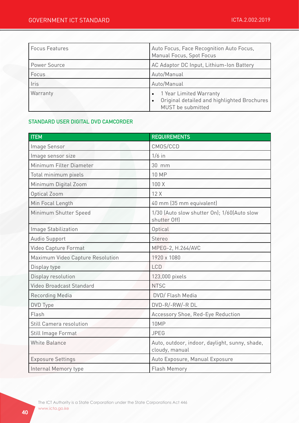| <b>Focus Features</b> | Auto Focus, Face Recognition Auto Focus,<br>Manual Focus, Spot Focus                                                  |
|-----------------------|-----------------------------------------------------------------------------------------------------------------------|
| <b>Power Source</b>   | AC Adaptor DC Input, Lithium-Ion Battery                                                                              |
| Focus                 | Auto/Manual                                                                                                           |
| Iris                  | Auto/Manual                                                                                                           |
| Warranty              | 1 Year Limited Warranty<br>$\bullet$<br>Original detailed and highlighted Brochures<br>$\bullet$<br>MUST be submitted |

#### STANDARD USER DIGITAL DVD CAMCORDER

| <b>ITEM</b>                      | <b>REQUIREMENTS</b>                                              |
|----------------------------------|------------------------------------------------------------------|
| Image Sensor                     | CMOS/CCD                                                         |
| Image sensor size                | $1/6$ in                                                         |
| Minimum Filter Diameter          | 30 mm                                                            |
| Total minimum pixels             | <b>10 MP</b>                                                     |
| Minimum Digital Zoom             | 100 X                                                            |
| Optical Zoom                     | 12X                                                              |
| Min Focal Length                 | 40 mm (35 mm equivalent)                                         |
| Minimum Shutter Speed            | 1/30 (Auto slow shutter On); 1/60(Auto slow<br>shutter Off)      |
| Image Stabilization              | Optical                                                          |
| Audio Support                    | Stereo                                                           |
| Video Capture Format             | MPEG-2, H.264/AVC                                                |
| Maximum Video Capture Resolution | 1920 x 1080                                                      |
| Display type                     | <b>LCD</b>                                                       |
| Display resolution               | 123,000 pixels                                                   |
| <b>Video Broadcast Standard</b>  | <b>NTSC</b>                                                      |
| <b>Recording Media</b>           | DVD/ Flash Media                                                 |
| DVD Type                         | DVD-R/-RW/-R DL                                                  |
| Flash                            | Accessory Shoe, Red-Eye Reduction                                |
| <b>Still Camera resolution</b>   | <b>10MP</b>                                                      |
| Still Image Format               | <b>JPEG</b>                                                      |
| <b>White Balance</b>             | Auto, outdoor, indoor, daylight, sunny, shade,<br>cloudy, manual |
| <b>Exposure Settings</b>         | Auto Exposure, Manual Exposure                                   |
| Internal Memory type             | <b>Flash Memory</b>                                              |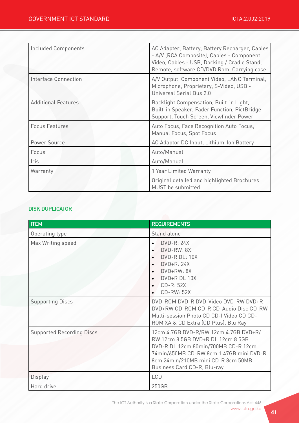| <b>Included Components</b> | AC Adapter, Battery, Battery Recharger, Cables<br>- A/V (RCA Composite), Cables - Component<br>Video, Cables - USB, Docking / Cradle Stand,<br>Remote, software CD/DVD Rom, Carrying case |
|----------------------------|-------------------------------------------------------------------------------------------------------------------------------------------------------------------------------------------|
| Interface Connection       | A/V Output, Component Video, LANC Terminal,<br>Microphone, Proprietary, S-Video, USB -<br>Universal Serial Bus 2.0                                                                        |
| <b>Additional Features</b> | Backlight Compensation, Built-in Light,<br>Built-in Speaker, Fader Function, PictBridge<br>Support, Touch Screen, Viewfinder Power                                                        |
| <b>Focus Features</b>      | Auto Focus, Face Recognition Auto Focus,<br>Manual Focus, Spot Focus                                                                                                                      |
| Power Source               | AC Adaptor DC Input, Lithium-Ion Battery                                                                                                                                                  |
| Focus                      | Auto/Manual                                                                                                                                                                               |
| Iris                       | Auto/Manual                                                                                                                                                                               |
| Warranty                   | 1 Year Limited Warranty                                                                                                                                                                   |
|                            | Original detailed and highlighted Brochures<br>MUST be submitted                                                                                                                          |

## DISK DUPLICATOR

| <b>ITEM</b>                      | <b>REQUIREMENTS</b>                                                                                                                                                                                                               |
|----------------------------------|-----------------------------------------------------------------------------------------------------------------------------------------------------------------------------------------------------------------------------------|
| Operating type                   | Stand alone                                                                                                                                                                                                                       |
| Max Writing speed                | $DVD-R: 24X$<br>$\bullet$<br>DVD-RW: 8X<br>DVD-R DL: 10X<br>$\bullet$<br>$DVD+R: 24X$<br>$\bullet$<br>DVD+RW: 8X<br>DVD+R DL 10X<br>$CD-R: 52X$<br>$\bullet$<br><b>CD-RW: 52X</b><br>$\bullet$                                    |
| <b>Supporting Discs</b>          | DVD-ROM DVD-R DVD-Video DVD-RW DVD+R<br>DVD+RW CD-ROM CD-R CD-Audio Disc CD-RW<br>Multi-session Photo CD CD-I Video CD CD-<br>ROM XA & CD Extra (CD Plus), Blu Ray                                                                |
| <b>Supported Recording Discs</b> | 12cm 4.7GB DVD-R/RW 12cm 4.7GB DVD+R/<br>RW 12cm 8.5GB DVD+R DL 12cm 8.5GB<br>DVD-R DL 12cm 80min/700MB CD-R 12cm<br>74min/650MB CD-RW 8cm 1.47GB mini DVD-R<br>8cm 24min/210MB mini CD-R 8cm 50MB<br>Business Card CD-R, Blu-ray |
| Display                          | <b>LCD</b>                                                                                                                                                                                                                        |
| Hard drive                       | 250GB                                                                                                                                                                                                                             |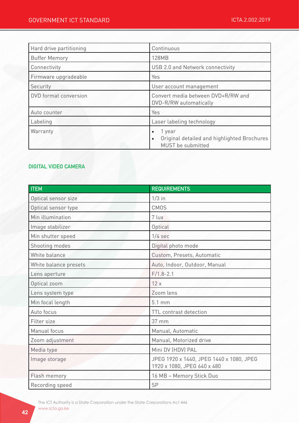| Hard drive partitioning | Continuous                                                                                           |
|-------------------------|------------------------------------------------------------------------------------------------------|
| <b>Buffer Memory</b>    | <b>128MB</b>                                                                                         |
| Connectivity            | USB 2.0 and Network connectivity                                                                     |
| Firmware upgradeable    | Yes                                                                                                  |
| Security                | User account management                                                                              |
| DVD format conversion   | Convert media between DVD+R/RW and<br>DVD-R/RW automatically                                         |
| Auto counter            | Yes                                                                                                  |
| Labeling                | Laser labeling technology                                                                            |
| Warranty                | 1 year<br>$\bullet$<br>Original detailed and highlighted Brochures<br>$\bullet$<br>MUST be submitted |

## DIGITAL VIDEO CAMERA

| <b>ITEM</b>           | <b>REQUIREMENTS</b>                                                     |
|-----------------------|-------------------------------------------------------------------------|
| Optical sensor size   | $1/3$ in                                                                |
| Optical sensor type   | <b>CMOS</b>                                                             |
| Min illumination      | 7 lux                                                                   |
| Image stabilizer      | Optical                                                                 |
| Min shutter speed     | $1/4$ sec                                                               |
| Shooting modes        | Digital photo mode                                                      |
| White balance         | Custom, Presets, Automatic                                              |
| White balance presets | Auto, Indoor, Outdoor, Manual                                           |
| Lens aperture         | $F/1.8 - 2.1$                                                           |
| Optical zoom          | 12x                                                                     |
| Lens system type      | Zoom lens                                                               |
| Min focal length      | 5.1 mm                                                                  |
| Auto focus            | TTL contrast detection                                                  |
| Filter size           | $37 \text{ mm}$                                                         |
| Manual focus          | Manual, Automatic                                                       |
| Zoom adjustment       | Manual, Motorized drive                                                 |
| Media type            | Mini DV (HDV) PAL                                                       |
| Image storage         | JPEG 1920 x 1440, JPEG 1440 x 1080, JPEG<br>1920 x 1080, JPEG 640 x 480 |
| Flash memory          | 16 MB - Memory Stick Duo                                                |
| Recording speed       | SP                                                                      |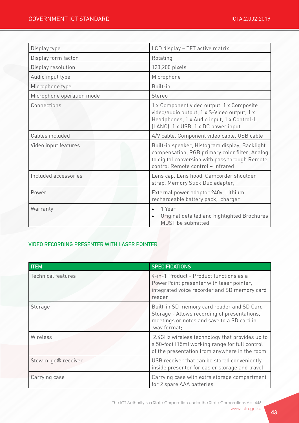| Display type              | LCD display - TFT active matrix                                                                                                                                                         |
|---------------------------|-----------------------------------------------------------------------------------------------------------------------------------------------------------------------------------------|
| Display form factor       | Rotating                                                                                                                                                                                |
| Display resolution        | 123,200 pixels                                                                                                                                                                          |
| Audio input type          | Microphone                                                                                                                                                                              |
| Microphone type           | Built-in                                                                                                                                                                                |
| Microphone operation mode | Stereo                                                                                                                                                                                  |
| Connections               | 1 x Component video output, 1 x Composite<br>video/audio output, 1 x S-Video output, 1 x<br>Headphones, 1 x Audio input, 1 x Control-L<br>(LANC), 1 x USB, 1 x DC power input           |
| Cables included           | A/V cable, Component video cable, USB cable                                                                                                                                             |
| Video input features      | Built-in speaker, Histogram display, Backlight<br>compensation, RGB primary color filter, Analog<br>to digital conversion with pass through Remote<br>control Remote control - Infrared |
| Included accessories      | Lens cap, Lens hood, Camcorder shoulder<br>strap, Memory Stick Duo adapter,                                                                                                             |
| Power                     | External power adaptor 240v, Lithium<br>rechargeable battery pack, charger                                                                                                              |
| Warranty                  | 1 Year<br>$\bullet$<br>Original detailed and highlighted Brochures<br>MUST be submitted                                                                                                 |

## VIDEO RECORDING PRESENTER WITH LASER POINTER

| <b>ITEM</b>               | <b>SPECIFICATIONS</b>                                                                                                                                    |
|---------------------------|----------------------------------------------------------------------------------------------------------------------------------------------------------|
| <b>Technical features</b> | 4-in-1 Product - Product functions as a<br>PowerPoint presenter with laser pointer,<br>integrated voice recorder and SD memory card<br>reader            |
| Storage                   | Built-in SD memory card reader and SD Card<br>Storage - Allows recording of presentations,<br>meetings or notes and save to a SD card in<br>.wav format; |
| Wireless                  | 2.4GHz wireless technology that provides up to<br>a 50-foot (15m) working range for full control<br>of the presentation from anywhere in the room        |
| Stow-n-go® receiver       | USB receiver that can be stored conveniently<br>inside presenter for easier storage and travel                                                           |
| Carrying case             | Carrying case with extra storage compartment<br>for 2 spare AAA batteries                                                                                |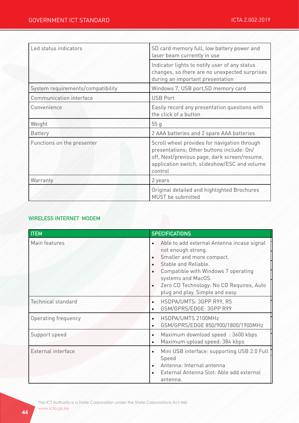| Led status indicators             | SD card memory full, low battery power and<br>laser beam currently in use                                                                                                                            |
|-----------------------------------|------------------------------------------------------------------------------------------------------------------------------------------------------------------------------------------------------|
|                                   | Indicator lights to notify user of any status<br>changes, so there are no unexpected surprises<br>during an important presentation                                                                   |
| System requirements/compatibility | Windows 7, USB port, SD memory card                                                                                                                                                                  |
| Communication interface           | <b>USB Port</b>                                                                                                                                                                                      |
| Convenience                       | Easily record any presentation questions with<br>the click of a button                                                                                                                               |
| Weight                            | 55q                                                                                                                                                                                                  |
| <b>Battery</b>                    | 2 AAA batteries and 2 spare AAA batteries                                                                                                                                                            |
| Functions on the presenter        | Scroll wheel provides for navigation through<br>presentations; Other buttons include: On/<br>off, Next/previous page, dark screen/resume,<br>application switch, slideshow/ESC and volume<br>control |
| Warranty                          | 2 years                                                                                                                                                                                              |
|                                   | Original detailed and highlighted Brochures<br>MUST be submitted                                                                                                                                     |

## WIRELESS INTERNET MODEM

| <b>ITEM</b>               | <b>SPECIFICATIONS</b>                                                                                                                                                                                                                                                          |
|---------------------------|--------------------------------------------------------------------------------------------------------------------------------------------------------------------------------------------------------------------------------------------------------------------------------|
| Main features             | Able to add external Antenna incase signal<br>$\bullet$<br>not enough strong.<br>Smaller and more compact.<br>Stable and Reliable.<br>Compatible with Windows 7 operating<br>systems and MacOS.<br>Zero CD Technology: No CD Requires, Auto<br>plug and play. Simple and easy. |
| <b>Technical standard</b> | HSDPA/UMTS: 3GPP R99, R5<br>$\bullet$<br>GSM/GPRS/EDGE: 3GPP R99<br>$\bullet$                                                                                                                                                                                                  |
| Operating frequency       | HSDPA/UMTS 2100MHz<br>$\bullet$<br>GSM/GPRS/EDGE 850/900/1800/1900MHz<br>$\bullet$                                                                                                                                                                                             |
| Support speed             | Maximum download speed: 3600 kbps<br>$\bullet$<br>Maximum upload speed: 384 kbps<br>$\bullet$                                                                                                                                                                                  |
| External interface        | Mini USB interface: supporting USB 2.0 Full<br>$\bullet$<br>Speed<br>Antenna: Internal antenna<br>External Antenna Slot: Able add external<br>antenna.                                                                                                                         |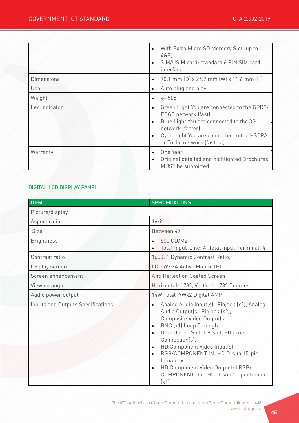|                   | With Extra Micro SD Memory Slot (up to<br>4GB).<br>SIM/USIM card: standard 6 PIN SIM card<br>interface                                                                                                     |
|-------------------|------------------------------------------------------------------------------------------------------------------------------------------------------------------------------------------------------------|
| <b>Dimensions</b> | 70.1 mm (D) x 25.7 mm (W) x 11.6 mm (H)                                                                                                                                                                    |
| Usb               | Auto plug and play                                                                                                                                                                                         |
| Weight            | $\leftarrow$ 50g                                                                                                                                                                                           |
| Led indicator     | Green Light You are connected to the GPRS/<br>EDGE network (fast)<br>Blue Light You are connected to the 3G<br>network (faster)<br>Cyan Light You are connected to the HSDPA<br>or Turbo network (fastest) |
| Warranty          | One Year<br>Original detailed and highlighted Brochures<br>MUST be submitted                                                                                                                               |

## DIGITAL LCD DISPLAY PANEL

| <b>ITEM</b>                       | <b>SPECIFICATIONS</b>                                                                                                                                                                                                                                                                                                                                                                                                                 |
|-----------------------------------|---------------------------------------------------------------------------------------------------------------------------------------------------------------------------------------------------------------------------------------------------------------------------------------------------------------------------------------------------------------------------------------------------------------------------------------|
| Picture/display                   |                                                                                                                                                                                                                                                                                                                                                                                                                                       |
| Aspect ratio                      | 16:9                                                                                                                                                                                                                                                                                                                                                                                                                                  |
| Size                              | Between 47"                                                                                                                                                                                                                                                                                                                                                                                                                           |
| <b>Brightness</b>                 | 500 CD/M2<br>$\bullet$<br>Total Input-Line: 4, Total Input-Terminal: 4                                                                                                                                                                                                                                                                                                                                                                |
| Contrast ratio                    | 1600: 1 Dynamic Contrast Ratio,                                                                                                                                                                                                                                                                                                                                                                                                       |
| Display screen                    | <b>LCD WXGA Active Matrix TFT</b>                                                                                                                                                                                                                                                                                                                                                                                                     |
| Screen enhancement                | <b>Anti Reflection Coated Screen</b>                                                                                                                                                                                                                                                                                                                                                                                                  |
| Viewing angle                     | Horizontal: 178°, Vertical: 178° Degrees                                                                                                                                                                                                                                                                                                                                                                                              |
| Audio power output                | 14W Total (7Wx2 Digital AMP)                                                                                                                                                                                                                                                                                                                                                                                                          |
| Inputs and Outputs Specifications | Analog Audio Input(s) -Pinjack (x2), Analog<br>$\bullet$<br>Audio Output(s)-Pinjack (x2),<br>Composite Video Output(s)<br>BNC (x1) Loop Through<br>Dual Option Slot-1.8 Slot, Ethernet<br>$\bullet$<br>Connection(s),<br>HD Component Video Input(s)<br>$\bullet$<br>RGB/COMPONENT IN: HD D-sub 15-pin<br>$\bullet$<br>female (x1)<br>HD Component Video Output(s) RGB/<br>$\bullet$<br>COMPONENT Out: HD D-sub 15-pin female<br>(x1) |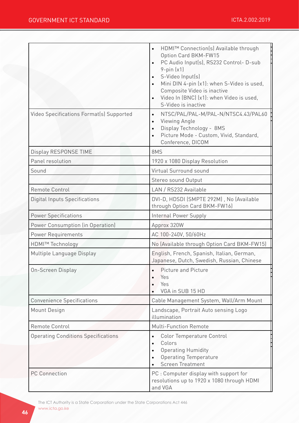|                                            | HDMI™ Connection(s) Available through<br>Option Card BKM-FW15<br>PC Audio Input(s), RS232 Control- D-sub<br>$9$ -pin $(x1)$<br>S-Video Input(s)<br>Mini DIN 4-pin (x1): when S-Video is used,<br>Composite Video is inactive<br>Video In (BNC) (x1): when Video is used,<br>S-Video is inactive |
|--------------------------------------------|-------------------------------------------------------------------------------------------------------------------------------------------------------------------------------------------------------------------------------------------------------------------------------------------------|
| Video Specifications Format(s) Supported   | NTSC/PAL/PAL-M/PAL-N/NTSC4.43/PAL60<br>$\bullet$<br>Viewing Angle<br>Display Technology - 8MS<br>Picture Mode - Custom, Vivid, Standard,<br>Conference, DICOM                                                                                                                                   |
| Display RESPONSE TIME                      | 8MS                                                                                                                                                                                                                                                                                             |
| Panel resolution                           | 1920 x 1080 Display Resolution                                                                                                                                                                                                                                                                  |
| Sound                                      | Virtual Surround sound                                                                                                                                                                                                                                                                          |
|                                            | Stereo sound Output                                                                                                                                                                                                                                                                             |
| Remote Control                             | LAN / RS232 Available                                                                                                                                                                                                                                                                           |
| <b>Digital Inputs Specifications</b>       | DVI-D, HDSDI (SMPTE 292M), No (Available<br>through Option Card BKM-FW16)                                                                                                                                                                                                                       |
| <b>Power Specifications</b>                | Internal Power Supply                                                                                                                                                                                                                                                                           |
| Power Consumption (in Operation)           | Approx 320W                                                                                                                                                                                                                                                                                     |
| Power Requirements                         | AC 100-240V, 50/60Hz                                                                                                                                                                                                                                                                            |
| <b>HDMI™ Technology</b>                    | No (Available through Option Card BKM-FW15)                                                                                                                                                                                                                                                     |
| Multiple Language Display                  | English, French, Spanish, Italian, German,<br>Japanese, Dutch, Swedish, Russian, Chinese                                                                                                                                                                                                        |
| On-Screen Display                          | <b>Picture and Picture</b><br>Yes<br>Yes<br>VGA in SUB 15 HD                                                                                                                                                                                                                                    |
| <b>Convenience Specifications</b>          | Cable Management System, Wall/Arm Mount                                                                                                                                                                                                                                                         |
| Mount Design                               | Landscape, Portrait Auto sensing Logo<br>illumination                                                                                                                                                                                                                                           |
| Remote Control                             | <b>Multi-Function Remote</b>                                                                                                                                                                                                                                                                    |
| <b>Operating Conditions Specifications</b> | Color Temperature Control<br>Colors<br><b>Operating Humidity</b><br><b>Operating Temperature</b><br><b>Screen Treatment</b>                                                                                                                                                                     |
| <b>PC Connection</b>                       | PC : Computer display with support for<br>resolutions up to 1920 x 1080 through HDMI<br>and VGA                                                                                                                                                                                                 |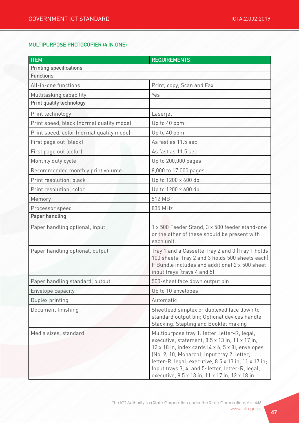## MULTIPURPOSE PHOTOCOPIER (4 IN ONE)

| <b>ITEM</b>                              | <b>REQUIREMENTS</b>                                                                                                                                                                                                                                                                                                                                                                    |
|------------------------------------------|----------------------------------------------------------------------------------------------------------------------------------------------------------------------------------------------------------------------------------------------------------------------------------------------------------------------------------------------------------------------------------------|
| <b>Printing specifications</b>           |                                                                                                                                                                                                                                                                                                                                                                                        |
| <b>Functions</b>                         |                                                                                                                                                                                                                                                                                                                                                                                        |
| All-in-one functions                     | Print, copy, Scan and Fax                                                                                                                                                                                                                                                                                                                                                              |
| Multitasking capability                  | Yes                                                                                                                                                                                                                                                                                                                                                                                    |
| <b>Print quality technology</b>          |                                                                                                                                                                                                                                                                                                                                                                                        |
| Print technology                         | Laserjet                                                                                                                                                                                                                                                                                                                                                                               |
| Print speed, black (normal quality mode) | Up to 40 ppm                                                                                                                                                                                                                                                                                                                                                                           |
| Print speed, color (normal quality mode) | Up to 40 ppm                                                                                                                                                                                                                                                                                                                                                                           |
| First page out (black)                   | As fast as 11.5 sec                                                                                                                                                                                                                                                                                                                                                                    |
| First page out (color)                   | As fast as 11.5 sec                                                                                                                                                                                                                                                                                                                                                                    |
| Monthly duty cycle                       | Up to 200,000 pages                                                                                                                                                                                                                                                                                                                                                                    |
| Recommended monthly print volume         | 8,000 to 17,000 pages                                                                                                                                                                                                                                                                                                                                                                  |
| Print resolution, black                  | Up to 1200 x 600 dpi                                                                                                                                                                                                                                                                                                                                                                   |
| Print resolution, color                  | Up to 1200 x 600 dpi                                                                                                                                                                                                                                                                                                                                                                   |
| Memory                                   | 512 MB                                                                                                                                                                                                                                                                                                                                                                                 |
| Processor speed                          | 835 MHz                                                                                                                                                                                                                                                                                                                                                                                |
| <b>Paper handling</b>                    |                                                                                                                                                                                                                                                                                                                                                                                        |
| Paper handling optional, input           | 1 x 500 Feeder Stand, 3 x 500 feeder stand-one<br>or the other of these should be present with<br>each unit.                                                                                                                                                                                                                                                                           |
| Paper handling optional, output          | Tray 1 and a Cassette Tray 2 and 3 (Tray 1 holds<br>100 sheets, Tray 2 and 3 holds 500 sheets each)<br>F Bundle includes and additional 2 x 500 sheet<br>input trays (trays 4 and 5)                                                                                                                                                                                                   |
| Paper handling standard, output          | 500-sheet face down output bin                                                                                                                                                                                                                                                                                                                                                         |
| Envelope capacity                        | Up to 10 envelopes                                                                                                                                                                                                                                                                                                                                                                     |
| Duplex printing                          | Automatic                                                                                                                                                                                                                                                                                                                                                                              |
| Document finishing                       | Sheetfeed simplex or duplexed face down to<br>standard output bin; Optional devices handle<br>Stacking, Stapling and Booklet making                                                                                                                                                                                                                                                    |
| Media sizes, standard                    | Multipurpose tray 1: letter, letter-R, legal,<br>executive, statement, 8.5 x 13 in, 11 x 17 in,<br>$12 \times 18$ in, index cards $(4 \times 6, 5 \times 8)$ , envelopes<br>(No. 9, 10, Monarch); Input tray 2: letter,<br>letter-R, legal, executive, 8.5 x 13 in, 11 x 17 in;<br>Input trays 3, 4, and 5: letter, letter-R, legal,<br>executive, 8.5 x 13 in, 11 x 17 in, 12 x 18 in |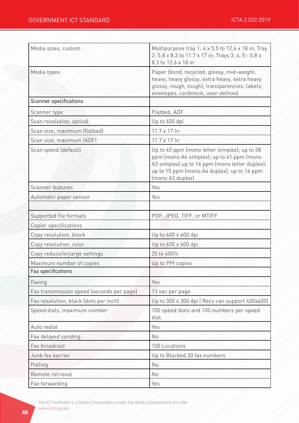| Media sizes, custom                       | Multipurpose tray 1: 4 x 5.5 to 12.6 x 18 in; Tray<br>2: 5.8 x 8.3 to 11.7 x 17 in; Trays 3, 4, 5:: 5.8 x<br>8.3 to 12.6 x 18 in                                                                               |
|-------------------------------------------|----------------------------------------------------------------------------------------------------------------------------------------------------------------------------------------------------------------|
| Media types                               | Paper (bond, recycled, glossy, mid-weight,<br>heavy, heavy glossy, extra heavy, extra heavy<br>glossy, rough, tough), transparencies, labels,<br>envelopes, cardstock, user-defined                            |
| <b>Scanner specifications</b>             |                                                                                                                                                                                                                |
| Scanner type                              | Flatbed, ADF                                                                                                                                                                                                   |
| Scan resolution, optical                  | Up to 600 dpi                                                                                                                                                                                                  |
| Scan size, maximum (flatbed)              | 11.7 x 17 In                                                                                                                                                                                                   |
| Scan size, maximum (ADF)                  | $11.7 \times 17$ In                                                                                                                                                                                            |
| Scan speed (default)                      | Up to 40 ppm (mono letter simplex); up to 38<br>ppm (mono A4 simplex); up to 41 ppm (mono<br>A3 simplex) up to 16 ppm (mono letter duplex);<br>up to 15 ppm (mono A4 duplex); up to 16 ppm<br>(mono A3 duplex) |
| <b>Scanner features</b>                   | Yes                                                                                                                                                                                                            |
| Automatic paper sensor                    | Yes                                                                                                                                                                                                            |
|                                           |                                                                                                                                                                                                                |
| Supported file formats                    | PDF, JPEG, TIFF, or MTIFF                                                                                                                                                                                      |
| Copier specifications                     |                                                                                                                                                                                                                |
| Copy resolution, black                    | Up to 600 x 600 dpi                                                                                                                                                                                            |
| Copy resolution, color                    | Up to 600 x 600 dpi                                                                                                                                                                                            |
| Copy reduce/enlarge settings              | 25 to 400%                                                                                                                                                                                                     |
| Maximum number of copies                  | Up to 999 copies                                                                                                                                                                                               |
| <b>Fax specifications</b>                 |                                                                                                                                                                                                                |
| Faxing                                    | Yes                                                                                                                                                                                                            |
| Fax transmission speed (seconds per page) | 13 sec per page                                                                                                                                                                                                |
| Fax resolution, black (dots per inch)     | Up to 300 x 300 dpi ( Recv can support 400x400)                                                                                                                                                                |
| Speed dials, maximum number               | 100 speed dials and 100 numbers per speed<br>dial.                                                                                                                                                             |
| Auto redial                               | Yes                                                                                                                                                                                                            |
| Fax delayed sending                       | <b>No</b>                                                                                                                                                                                                      |
| Fax broadcast                             | 100 Locations                                                                                                                                                                                                  |
| Junk fax barrier                          | Up to Blocked 20 fax numbers                                                                                                                                                                                   |
| Polling                                   | No                                                                                                                                                                                                             |
| Remote retrieval                          | No                                                                                                                                                                                                             |
| Fax forwarding                            | Yes                                                                                                                                                                                                            |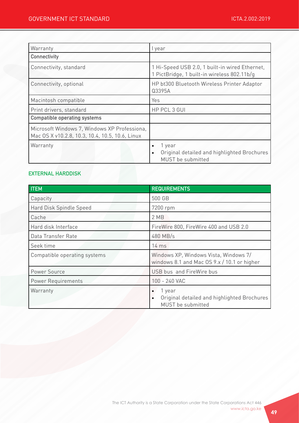| Warranty                                                                                        | I year                                                                                               |
|-------------------------------------------------------------------------------------------------|------------------------------------------------------------------------------------------------------|
| <b>Connectivity</b>                                                                             |                                                                                                      |
| Connectivity, standard                                                                          | 1 Hi-Speed USB 2.0, 1 built-in wired Ethernet,<br>1 PictBridge, 1 built-in wireless 802.11b/g        |
| Connectivity, optional                                                                          | HP bt300 Bluetooth Wireless Printer Adaptor<br>Q3395A                                                |
| Macintosh compatible                                                                            | Yes                                                                                                  |
| Print drivers, standard                                                                         | HP PCL 3 GUI                                                                                         |
| <b>Compatible operating systems</b>                                                             |                                                                                                      |
| Microsoft Windows 7, Windows XP Professiona,<br>Mac OS X v10.2.8, 10.3, 10.4, 10.5, 10.6, Linux |                                                                                                      |
| Warranty                                                                                        | 1 year<br>$\bullet$<br>Original detailed and highlighted Brochures<br>$\bullet$<br>MUST be submitted |

## EXTERNAL HARDDISK

| <b>ITEM</b>                  | <b>REQUIREMENTS</b>                                                                                  |
|------------------------------|------------------------------------------------------------------------------------------------------|
| Capacity                     | 500 GB                                                                                               |
| Hard Disk Spindle Speed      | 7200 rpm                                                                                             |
| Cache                        | 2 MB                                                                                                 |
| Hard disk Interface          | FireWire 800, FireWire 400 and USB 2.0                                                               |
| Data Transfer Rate           | 480 MB/s                                                                                             |
| Seek time                    | 14 ms                                                                                                |
| Compatible operating systems | Windows XP, Windows Vista, Windows 7/<br>windows 8.1 and Mac OS 9.x / 10.1 or higher                 |
| Power Source                 | USB bus and FireWire bus                                                                             |
| <b>Power Requirements</b>    | 100 - 240 VAC                                                                                        |
| Warranty                     | 1 year<br>$\bullet$<br>Original detailed and highlighted Brochures<br>$\bullet$<br>MUST be submitted |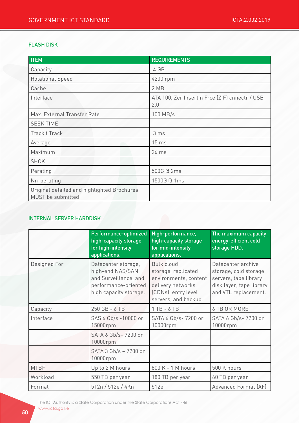## FLASH DISK

| <b>ITEM</b>                                                      | <b>REQUIREMENTS</b>                                   |
|------------------------------------------------------------------|-------------------------------------------------------|
| Capacity                                                         | 4 GB                                                  |
| <b>Rotational Speed</b>                                          | 4200 rpm                                              |
| Cache                                                            | 2 MB                                                  |
| Interface                                                        | ATA 100, Zer Insertin Frce (ZIF) cnnectr / USB<br>2.0 |
| Max. External Transfer Rate                                      | 100 MB/s                                              |
| <b>SEEK TIME</b>                                                 |                                                       |
| Track t Track                                                    | 3 <sub>ms</sub>                                       |
| Average                                                          | 15 <sub>ms</sub>                                      |
| Maximum                                                          | 26 ms                                                 |
| <b>SHCK</b>                                                      |                                                       |
| Perating                                                         | 500G @ 2ms                                            |
| Nn-perating                                                      | 1500G @ 1ms                                           |
| Original detailed and highlighted Brochures<br>MUST be submitted |                                                       |

## INTERNAL SERVER HARDDISK

|              | Performance-optimized<br>high-capacity storage<br>for high-intensity<br>applications.                              | High-performance,<br>high-capacity storage<br>for mid-intensity<br>applications.                                                      | The maximum capacity<br>energy-efficient cold<br>storage HDD.                                                            |
|--------------|--------------------------------------------------------------------------------------------------------------------|---------------------------------------------------------------------------------------------------------------------------------------|--------------------------------------------------------------------------------------------------------------------------|
| Designed For | Datacenter storage,<br>high-end NAS/SAN<br>and Surveillance, and<br>performance-oriented<br>high capacity storage. | <b>Bulk cloud</b><br>storage, replicated<br>environments, content<br>delivery networks<br>(CDNs), entry level<br>servers, and backup. | Datacenter archive<br>storage, cold storage<br>servers, tape library<br>disk layer, tape library<br>and VTL replacement. |
| Capacity     | 250 GB - 6 TB                                                                                                      | $1 TB - 6 TB$                                                                                                                         | 6 TB OR MORE                                                                                                             |
| Interface    | SAS 6 Gb/s -10000 or<br>15000rpm                                                                                   | SATA 6 Gb/s- 7200 or<br>10000rpm                                                                                                      | SATA 6 Gb/s- 7200 or<br>10000rpm                                                                                         |
|              | SATA 6 Gb/s-7200 or<br>10000rpm                                                                                    |                                                                                                                                       |                                                                                                                          |
|              | SATA 3 Gb/s - 7200 or<br>10000rpm                                                                                  |                                                                                                                                       |                                                                                                                          |
| <b>MTBF</b>  | Up to 2 M hours                                                                                                    | 800 K - 1 M hours                                                                                                                     | 500 K hours                                                                                                              |
| Workload     | 550 TB per year                                                                                                    | 180 TB per year                                                                                                                       | 60 TB per year                                                                                                           |
| Format       | 512n / 512e / 4Kn                                                                                                  | 512e                                                                                                                                  | Advanced Format (AF)                                                                                                     |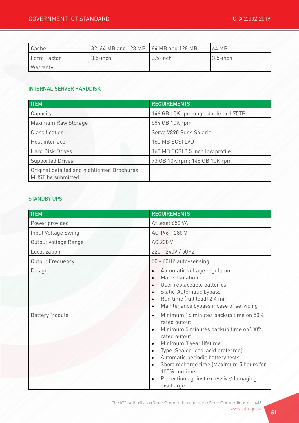| Cache       | 32, 64 MB and 128 MB 64 MB and 128 MB |             | 64 MB       |
|-------------|---------------------------------------|-------------|-------------|
| Form Factor | $3.5$ -inch                           | $3.5$ -inch | $3.5$ -inch |
| Warranty    |                                       |             |             |

#### INTERNAL SERVER HARDDISK

| <b>ITEM</b>                                                      | <b>REQUIREMENTS</b>                 |
|------------------------------------------------------------------|-------------------------------------|
| Capacity                                                         | 146 GB 10K rpm upgradable to 1.75TB |
| Maximum Raw Storage                                              | 584 GB 10K rpm                      |
| Classification                                                   | Serve V890 Suns Solaris             |
| Host interface                                                   | 160 MB SCSI LVD                     |
| <b>Hard Disk Drives</b>                                          | 160 MB SCSI 3.5 inch low profile    |
| <b>Supported Drives</b>                                          | 73 GB 10K rpm; 146 GB 10K rpm       |
| Original detailed and highlighted Brochures<br>MUST be submitted |                                     |

#### STANDBY UPS

| <b>ITEM</b>           | <b>REQUIREMENTS</b>                                                                                                                                                                                                                                                                                                                                                                                                              |
|-----------------------|----------------------------------------------------------------------------------------------------------------------------------------------------------------------------------------------------------------------------------------------------------------------------------------------------------------------------------------------------------------------------------------------------------------------------------|
| Power provided        | At least 650 VA                                                                                                                                                                                                                                                                                                                                                                                                                  |
| Input Voltage Swing   | AC 196 - 280 V                                                                                                                                                                                                                                                                                                                                                                                                                   |
| Output voltage Range  | AC 230 V                                                                                                                                                                                                                                                                                                                                                                                                                         |
| Localization          | 220 - 240V / 50Hz                                                                                                                                                                                                                                                                                                                                                                                                                |
| Output Frequency      | 50 - 60HZ auto-sensing                                                                                                                                                                                                                                                                                                                                                                                                           |
| Design                | Automatic voltage regulaton<br>$\bullet$<br>Mains Isolation<br>$\bullet$<br>User replaceable batteries<br>$\bullet$<br>Static-Automatic bypass<br>$\bullet$<br>Run time (full load) 2,4 min<br>$\bullet$<br>Maintenance bypass incase of servicing<br>$\bullet$                                                                                                                                                                  |
| <b>Battery Module</b> | Minimum 16 minutes backup time on 50%<br>$\bullet$<br>rated outout<br>Minimum 5 minutes backup time on 100%<br>$\bullet$<br>rated outout<br>Minimum 3 year lifetime<br>$\bullet$<br>Type (Sealed lead-acid preferred)<br>$\bullet$<br>Automatic periodic battery tests<br>$\bullet$<br>Short recharge time (Maximum 5 hours for<br>$\bullet$<br>100% runtime)<br>Protection against excessive/damaging<br>$\bullet$<br>discharge |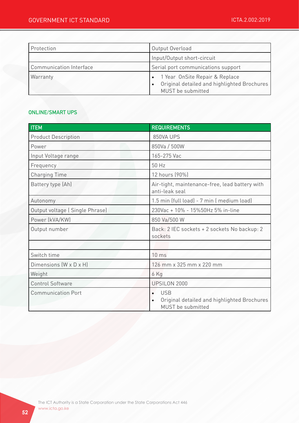| Protection                     | Output Overload                                                                                      |
|--------------------------------|------------------------------------------------------------------------------------------------------|
|                                | Input/Output short-circuit                                                                           |
| <b>Communication Interface</b> | Serial port communications support                                                                   |
| Warranty                       | • 1 Year OnSite Repair & Replace<br>Original detailed and highlighted Brochures<br>MUST be submitted |

#### ONLINE/SMART UPS

| <b>ITEM</b>                    | <b>REQUIREMENTS</b>                                                                                      |
|--------------------------------|----------------------------------------------------------------------------------------------------------|
| <b>Product Description</b>     | 850VA UPS                                                                                                |
| Power                          | 850Va / 500W                                                                                             |
| Input Voltage range            | 165-275 Vac                                                                                              |
| Frequency                      | 50 Hz                                                                                                    |
| <b>Charging Time</b>           | 12 hours (90%)                                                                                           |
| Battery type (Ah)              | Air-tight, maintenance-free, lead battery with<br>anti-leak seal                                         |
| Autonomy                       | 1.5 min (full load) - 7 min (medium load)                                                                |
| Output voltage (Single Phrase) | 230Vac + 10% - 15%50Hz 5% in-line                                                                        |
| Power (kVA/KW)                 | 850 Va/500 W                                                                                             |
| Output number                  | Back: 2 IEC sockets + 2 sockets No backup: 2<br>sockets                                                  |
|                                |                                                                                                          |
| Switch time                    | 10 <sub>ms</sub>                                                                                         |
| Dimensions (W x D x H)         | 126 mm x 325 mm x 220 mm                                                                                 |
| Weight                         | 6 Kg                                                                                                     |
| <b>Control Software</b>        | UPSILON 2000                                                                                             |
| <b>Communication Port</b>      | <b>USB</b><br>$\bullet$<br>Original detailed and highlighted Brochures<br>$\bullet$<br>MUST be submitted |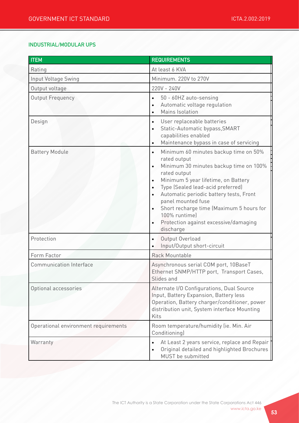## INDUSTRIAL/MODULAR UPS

| <b>ITEM</b>                          | <b>REQUIREMENTS</b>                                                                                                                                                                                                                                                                                                                                                                                                                                           |  |
|--------------------------------------|---------------------------------------------------------------------------------------------------------------------------------------------------------------------------------------------------------------------------------------------------------------------------------------------------------------------------------------------------------------------------------------------------------------------------------------------------------------|--|
| Rating                               | At least 6 KVA                                                                                                                                                                                                                                                                                                                                                                                                                                                |  |
| Input Voltage Swing                  | Minimum. 220V to 270V                                                                                                                                                                                                                                                                                                                                                                                                                                         |  |
| Output voltage                       | 220V - 240V                                                                                                                                                                                                                                                                                                                                                                                                                                                   |  |
| Output Frequency                     | 50 - 60HZ auto-sensing<br>$\bullet$<br>Automatic voltage regulation<br>Mains Isolation                                                                                                                                                                                                                                                                                                                                                                        |  |
| Design                               | User replaceable batteries<br>$\bullet$<br>Static-Automatic bypass, SMART<br>capabilities enabled<br>Maintenance bypass in case of servicing<br>$\bullet$                                                                                                                                                                                                                                                                                                     |  |
| <b>Battery Module</b>                | Minimum 60 minutes backup time on 50%<br>$\bullet$<br>rated output<br>Minimum 30 minutes backup time on 100%<br>$\bullet$<br>rated output<br>Minimum 5 year lifetime, on Battery<br>$\bullet$<br>Type (Sealed lead-acid preferred)<br>$\bullet$<br>Automatic periodic battery tests, Front<br>$\bullet$<br>panel mounted fuse<br>Short recharge time (Maximum 5 hours for<br>$\bullet$<br>100% runtime)<br>Protection against excessive/damaging<br>discharge |  |
| Protection                           | Output Overload<br>$\bullet$<br>Input/Output short-circuit                                                                                                                                                                                                                                                                                                                                                                                                    |  |
| Form Factor                          | Rack Mountable                                                                                                                                                                                                                                                                                                                                                                                                                                                |  |
| <b>Communication Interface</b>       | Asynchronous serial COM port, 10BaseT<br>Ethernet SNMP/HTTP port, Transport Cases,<br>Slides and                                                                                                                                                                                                                                                                                                                                                              |  |
| Optional accessories                 | Alternate I/O Configurations, Dual Source<br>Input, Battery Expansion, Battery less<br>Operation, Battery charger/conditioner, power<br>distribution unit, System interface Mounting<br>Kits                                                                                                                                                                                                                                                                  |  |
| Operational environment requirements | Room temperature/humidity (ie. Min. Air<br>Conditioning)                                                                                                                                                                                                                                                                                                                                                                                                      |  |
| Warranty                             | At Least 2 years service, replace and Repair<br>$\bullet$<br>Original detailed and highlighted Brochures<br>MUST be submitted                                                                                                                                                                                                                                                                                                                                 |  |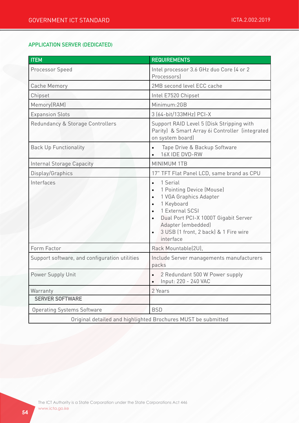#### APPLICATION SERVER (DEDICATED)

| <b>ITEM</b>                                   | <b>REQUIREMENTS</b>                                                                                                                                                                                                                                                                   |
|-----------------------------------------------|---------------------------------------------------------------------------------------------------------------------------------------------------------------------------------------------------------------------------------------------------------------------------------------|
| Processor Speed                               | Intel processor 3.6 GHz duo Core (4 or 2<br>Processors)                                                                                                                                                                                                                               |
| <b>Cache Memory</b>                           | 2MB second level ECC cache                                                                                                                                                                                                                                                            |
| Chipset                                       | Intel E7520 Chipset                                                                                                                                                                                                                                                                   |
| Memory(RAM)                                   | Minimum:2GB                                                                                                                                                                                                                                                                           |
| <b>Expansion Slots</b>                        | 3 (64-bit/133MHz) PCI-X                                                                                                                                                                                                                                                               |
| Redundancy & Storage Controllers              | Support RAID Level 5 (Disk Stripping with<br>Parity) & Smart Array 6i Controller (integrated<br>on system board)                                                                                                                                                                      |
| <b>Back Up Functionality</b>                  | Tape Drive & Backup Software<br>$\bullet$<br>16X IDE DVD-RW                                                                                                                                                                                                                           |
| <b>Internal Storage Capacity</b>              | <b>MINIMUM 1TB</b>                                                                                                                                                                                                                                                                    |
| Display/Graphics                              | 17" TFT Flat Panel LCD, same brand as CPU                                                                                                                                                                                                                                             |
| Interfaces                                    | 1 Serial<br>$\bullet$<br>1 Pointing Device (Mouse)<br>$\bullet$<br>1 VGA Graphics Adapter<br>$\bullet$<br>1 Keyboard<br>$\bullet$<br>1 External SCSI<br>Dual Port PCI-X 1000T Gigabit Server<br>$\bullet$<br>Adapter (embedded)<br>3 USB (1 front, 2 back) & 1 Fire wire<br>interface |
| Form Factor                                   | Rack Mountable(2U),                                                                                                                                                                                                                                                                   |
| Support software, and configuration utilities | Include Server managements manufacturers<br>packs                                                                                                                                                                                                                                     |
| Power Supply Unit                             | 2 Redundant 500 W Power supply<br>Input: 220 - 240 VAC                                                                                                                                                                                                                                |
| Warranty                                      | 2 Years                                                                                                                                                                                                                                                                               |
| <b>SERVER SOFTWARE</b>                        |                                                                                                                                                                                                                                                                                       |
| <b>Operating Systems Software</b>             | <b>BSD</b>                                                                                                                                                                                                                                                                            |
|                                               | Original detailed and highlighted Brochures MUST be submitted                                                                                                                                                                                                                         |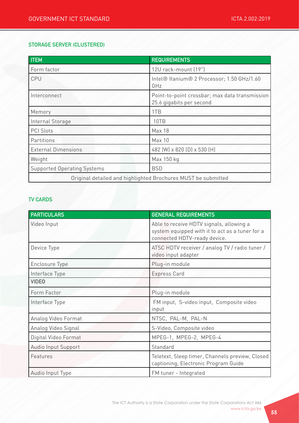#### STORAGE SERVER (CLUSTERED)

| <b>ITEM</b>                                                   | <b>REQUIREMENTS</b>                                                        |
|---------------------------------------------------------------|----------------------------------------------------------------------------|
| Form factor                                                   | 12U rack-mount (19")                                                       |
| CPU                                                           | Intel® Itanium® 2 Processor; 1.50 GHz/1.60<br>GHz                          |
| Interconnect                                                  | Point-to-point crossbar; max data transmission<br>25.6 gigabits per second |
| Memory                                                        | 1TB                                                                        |
| Internal Storage                                              | 10TB                                                                       |
| <b>PCI Slots</b>                                              | <b>Max 18</b>                                                              |
| Partitions                                                    | <b>Max 10</b>                                                              |
| <b>External Dimensions</b>                                    | 482 (W) x 820 (D) x 530 (H)                                                |
| Weight                                                        | Max 150 kg                                                                 |
| <b>Supported Operating Systems</b>                            | <b>BSD</b>                                                                 |
| Original detailed and highlighted Brochures MUST be submitted |                                                                            |

## TV CARDS

| <b>PARTICULARS</b>    | <b>GENERAL REQUIREMENTS</b>                                                                                                 |
|-----------------------|-----------------------------------------------------------------------------------------------------------------------------|
| Video Input           | Able to receive HDTV signals, allowing a<br>system equipped with it to act as a tuner for a<br>connected HDTV-ready device. |
| Device Type           | ATSC HDTV receiver / analog TV / radio tuner /<br>video input adapter                                                       |
| <b>Enclosure Type</b> | Plug-in module                                                                                                              |
| Interface Type        | <b>Express Card</b>                                                                                                         |
| <b>VIDEO</b>          |                                                                                                                             |
| Form Factor           | Plug-in module                                                                                                              |
| Interface Type        | FM input, S-video input, Composite video<br>input                                                                           |
| Analog Video Format   | NTSC, PAL-M, PAL-N                                                                                                          |
| Analog Video Signal   | S-Video, Composite video                                                                                                    |
| Digital Video Format  | MPEG-1, MPEG-2, MPEG-4                                                                                                      |
| Audio Input Support   | Standard                                                                                                                    |
| Features              | Teletext, Sleep timer, Channels preview, Closed<br>captioning, Electronic Program Guide                                     |
| Audio Input Type      | FM tuner - Integrated                                                                                                       |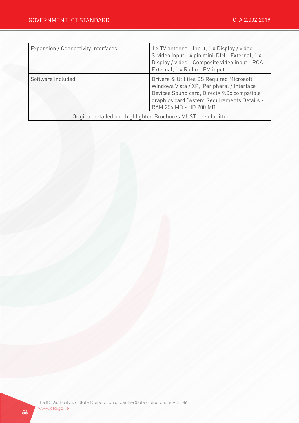| Expansion / Connectivity Interfaces | 1 x TV antenna - Input, 1 x Display / video -<br>S-video input - 4 pin mini-DIN - External, 1 x<br>Display / video - Composite video input - RCA -<br>External, 1 x Radio - FM input                            |
|-------------------------------------|-----------------------------------------------------------------------------------------------------------------------------------------------------------------------------------------------------------------|
| Software Included                   | Drivers & Utilities OS Required Microsoft<br>Windows Vista / XP, Peripheral / Interface<br>Devices Sound card, DirectX 9.0c compatible<br>graphics card System Requirements Details -<br>RAM 256 MB - HD 200 MB |
|                                     | Original detailed and highlighted Brochures MUST be submitted                                                                                                                                                   |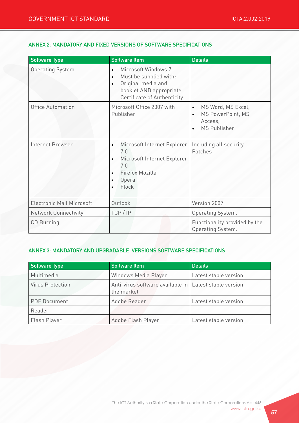#### ANNEX 2: MANDATORY AND FIXED VERSIONS OF SOFTWARE SPECIFICATIONS

| <b>Software Type</b>             | <b>Software Item</b>                                                                                                                                                 | <b>Details</b>                                                                                                   |
|----------------------------------|----------------------------------------------------------------------------------------------------------------------------------------------------------------------|------------------------------------------------------------------------------------------------------------------|
| <b>Operating System</b>          | Microsoft Windows 7<br>$\bullet$<br>Must be supplied with:<br>$\bullet$<br>Original media and<br>$\bullet$<br>booklet AND appropriate<br>Certificate of Authenticity |                                                                                                                  |
| <b>Office Automation</b>         | Microsoft Office 2007 with<br>Publisher                                                                                                                              | MS Word, MS Excel,<br>$\bullet$<br>MS PowerPoint, MS<br>$\bullet$<br>Access,<br><b>MS Publisher</b><br>$\bullet$ |
| Internet Browser                 | Microsoft Internet Explorer<br>$\bullet$<br>7.0<br>Microsoft Internet Explorer<br>$\bullet$<br>7.0<br>Firefox Mozilla<br>$\bullet$<br>Opera<br>$\bullet$<br>Flock    | Including all security<br>Patches                                                                                |
| <b>Electronic Mail Microsoft</b> | Outlook                                                                                                                                                              | Version 2007                                                                                                     |
| <b>Network Connectivity</b>      | TCP/IP                                                                                                                                                               | Operating System.                                                                                                |
| <b>CD</b> Burning                |                                                                                                                                                                      | Functionality provided by the<br>Operating System.                                                               |

## ANNEX 3: MANDATORY AND UPGRADABLE VERSIONS SOFTWARE SPECIFICATIONS

| Software Type           | <b>Software Item</b>                                                    | <b>Details</b>         |
|-------------------------|-------------------------------------------------------------------------|------------------------|
| Multimedia              | Windows Media Player                                                    | Latest stable version. |
| <b>Virus Protection</b> | Anti-virus software available in   Latest stable version.<br>the market |                        |
| <b>PDF Document</b>     | Adobe Reader                                                            | Latest stable version. |
| Reader                  |                                                                         |                        |
| Flash Player            | Adobe Flash Player                                                      | Latest stable version. |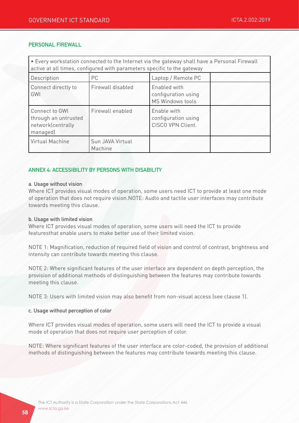#### PERSONAL FIREWALL

| . Every workstation connected to the Internet via the gateway shall have a Personal Firewall<br>active at all times, configured with parameters specific to the gateway |                             |                                                                |  |  |
|-------------------------------------------------------------------------------------------------------------------------------------------------------------------------|-----------------------------|----------------------------------------------------------------|--|--|
| Description                                                                                                                                                             | PC                          | Laptop / Remote PC                                             |  |  |
| Connect directly to<br>GWI                                                                                                                                              | Firewall disabled           | Enabled with<br>configuration using<br><b>MS Windows tools</b> |  |  |
| Connect to GWI<br>through an untrusted<br>network(centrally<br>managed)                                                                                                 | Firewall enabled            | Enable with<br>configuration using<br>CISCO VPN Client.        |  |  |
| Virtual Machine                                                                                                                                                         | Sun JAVA Virtual<br>Machine |                                                                |  |  |

#### ANNEX 4: ACCESSIBILITY BY PERSONS WITH DISABILITY

#### a. Usage without vision

Where ICT provides visual modes of operation, some users need ICT to provide at least one mode of operation that does not require vision.NOTE: Audio and tactile user interfaces may contribute towards meeting this clause.

#### b. Usage with limited vision

Where ICT provides visual modes of operation, some users will need the ICT to provide featuresthat enable users to make better use of their limited vision.

NOTE 1: Magnification, reduction of required field of vision and control of contrast, brightness and intensity can contribute towards meeting this clause.

NOTE 2: Where significant features of the user interface are dependent on depth perception, the provision of additional methods of distinguishing between the features may contribute towards meeting this clause.

NOTE 3: Users with limited vision may also benefit from non-visual access (see clause 1).

#### c. Usage without perception of color

Where ICT provides visual modes of operation, some users will need the ICT to provide a visual mode of operation that does not require user perception of color.

NOTE: Where significant features of the user interface are color-coded, the provision of additional methods of distinguishing between the features may contribute towards meeting this clause.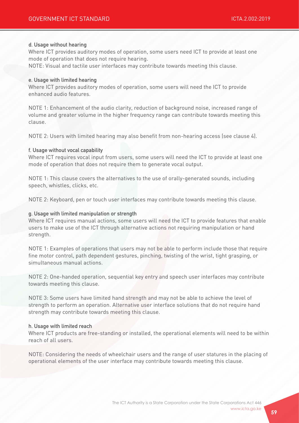#### d. Usage without hearing

Where ICT provides auditory modes of operation, some users need ICT to provide at least one mode of operation that does not require hearing.

NOTE: Visual and tactile user interfaces may contribute towards meeting this clause.

#### e. Usage with limited hearing

Where ICT provides auditory modes of operation, some users will need the ICT to provide enhanced audio features.

NOTE 1: Enhancement of the audio clarity, reduction of background noise, increased range of volume and greater volume in the higher frequency range can contribute towards meeting this clause.

NOTE 2: Users with limited hearing may also benefit from non-hearing access (see clause 4).

#### f. Usage without vocal capability

Where ICT requires vocal input from users, some users will need the ICT to provide at least one mode of operation that does not require them to generate vocal output.

NOTE 1: This clause covers the alternatives to the use of orally-generated sounds, including speech, whistles, clicks, etc.

NOTE 2: Keyboard, pen or touch user interfaces may contribute towards meeting this clause.

#### g. Usage with limited manipulation or strength

Where ICT requires manual actions, some users will need the ICT to provide features that enable users to make use of the ICT through alternative actions not requiring manipulation or hand strength.

NOTE 1: Examples of operations that users may not be able to perform include those that require fine motor control, path dependent gestures, pinching, twisting of the wrist, tight grasping, or simultaneous manual actions.

NOTE 2: One-handed operation, sequential key entry and speech user interfaces may contribute towards meeting this clause.

NOTE 3: Some users have limited hand strength and may not be able to achieve the level of strength to perform an operation. Alternative user interface solutions that do not require hand strength may contribute towards meeting this clause.

#### h. Usage with limited reach

Where ICT products are free-standing or installed, the operational elements will need to be within reach of all users.

NOTE: Considering the needs of wheelchair users and the range of user statures in the placing of operational elements of the user interface may contribute towards meeting this clause.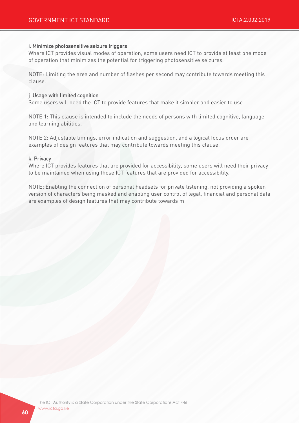#### i. Minimize photosensitive seizure triggers

Where ICT provides visual modes of operation, some users need ICT to provide at least one mode of operation that minimizes the potential for triggering photosensitive seizures.

NOTE: Limiting the area and number of flashes per second may contribute towards meeting this clause.

#### j. Usage with limited cognition

Some users will need the ICT to provide features that make it simpler and easier to use.

NOTE 1: This clause is intended to include the needs of persons with limited cognitive, language and learning abilities.

NOTE 2: Adjustable timings, error indication and suggestion, and a logical focus order are examples of design features that may contribute towards meeting this clause.

#### k. Privacy

Where ICT provides features that are provided for accessibility, some users will need their privacy to be maintained when using those ICT features that are provided for accessibility.

NOTE: Enabling the connection of personal headsets for private listening, not providing a spoken version of characters being masked and enabling user control of legal, financial and personal data are examples of design features that may contribute towards m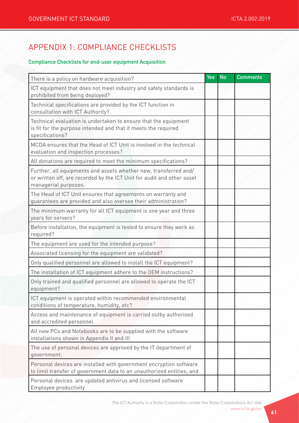# APPENDIX 1: COMPLIANCE CHECKLISTS

## Compliance Checklists for end-user equipment Acquisition

| There is a policy on hardware acquisition?                                                                                                                         | <b>Yes</b> | <b>No</b> | <b>Comments</b> |
|--------------------------------------------------------------------------------------------------------------------------------------------------------------------|------------|-----------|-----------------|
| ICT equipment that does not meet industry and safety standards is<br>prohibited from being deployed?                                                               |            |           |                 |
| Technical specifications are provided by the ICT function in<br>consultation with ICT Authority?                                                                   |            |           |                 |
| Technical evaluation is undertaken to ensure that the equipment<br>is fit for the purpose intended and that it meets the required<br>specifications?               |            |           |                 |
| MCDA ensures that the Head of ICT Unit is involved in the technical<br>evaluation and inspection processes?                                                        |            |           |                 |
| All donations are required to meet the minimum specifications?                                                                                                     |            |           |                 |
| Further, all equipments and assets whether new, transferred and/<br>or written off, are recorded by the ICT Unit for audit and other asset<br>managerial purposes. |            |           |                 |
| The Head of ICT Unit ensures that agreements on warranty and<br>guarantees are provided and also oversee their administration?                                     |            |           |                 |
| The minimum warranty for all ICT equipment is one year and three<br>years for servers?                                                                             |            |           |                 |
| Before installation, the equipment is tested to ensure they work as<br>required?                                                                                   |            |           |                 |
| The equipment are used for the intended purpose?                                                                                                                   |            |           |                 |
| Associated licensing for the equipment are validated?                                                                                                              |            |           |                 |
| Only qualified personnel are allowed to install the ICT equipment?                                                                                                 |            |           |                 |
| The installation of ICT equipment adhere to the OEM instructions?                                                                                                  |            |           |                 |
| Only trained and qualified personnel are allowed to operate the ICT<br>equipment?                                                                                  |            |           |                 |
| ICT equipment is operated within recommended environmental<br>conditions of temperature, humidity, etc?                                                            |            |           |                 |
| Access and maintenance of equipment is carried outby authorised<br>and accredited personnel.                                                                       |            |           |                 |
| All new PCs and Notebooks are to be supplied with the software<br>installations shown in Appendix II and III                                                       |            |           |                 |
| The use of personal devices are approved by the IT department of<br>government;                                                                                    |            |           |                 |
| Personal devices are installed with government encryption software<br>to limit transfer of government data to an unauthorized entities; and                        |            |           |                 |
| Personal devices are updated antivirus and licensed software<br>Employee productivity                                                                              |            |           |                 |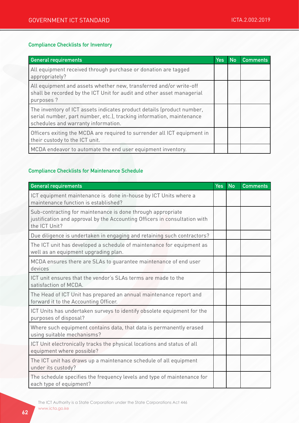#### Compliance Checklists for Inventory

| <b>General requirements</b>                                                                                                                                                           | Yes | <b>No</b> | <b>Comments</b> |
|---------------------------------------------------------------------------------------------------------------------------------------------------------------------------------------|-----|-----------|-----------------|
| All equipment received through purchase or donation are tagged<br>appropriately?                                                                                                      |     |           |                 |
| All equipment and assets whether new, transferred and/or write-off<br>shall be recorded by the ICT Unit for audit and other asset managerial<br>purposes ?                            |     |           |                 |
| The inventory of ICT assets indicates product details (product number,<br>serial number, part number, etc.), tracking information, maintenance<br>schedules and warranty information. |     |           |                 |
| Officers exiting the MCDA are required to surrender all ICT equipment in<br>their custody to the ICT unit.                                                                            |     |           |                 |
| MCDA endeavor to automate the end user equipment inventory.                                                                                                                           |     |           |                 |

## Compliance Checklists for Maintenance Schedule

| <b>General requirements</b>                                                                                                                                | <b>Yes</b> | <b>No</b> | <b>Comments</b> |
|------------------------------------------------------------------------------------------------------------------------------------------------------------|------------|-----------|-----------------|
| ICT equipment maintenance is done in-house by ICT Units where a<br>maintenance function is established?                                                    |            |           |                 |
| Sub-contracting for maintenance is done through appropriate<br>justification and approval by the Accounting Officers in consultation with<br>the ICT Unit? |            |           |                 |
| Due diligence is undertaken in engaging and retaining such contractors?                                                                                    |            |           |                 |
| The ICT unit has developed a schedule of maintenance for equipment as<br>well as an equipment upgrading plan.                                              |            |           |                 |
| MCDA ensures there are SLAs to guarantee maintenance of end user<br>devices                                                                                |            |           |                 |
| ICT unit ensures that the vendor's SLAs terms are made to the<br>satisfaction of MCDA.                                                                     |            |           |                 |
| The Head of ICT Unit has prepared an annual maintenance report and<br>forward it to the Accounting Officer.                                                |            |           |                 |
| ICT Units has undertaken surveys to identify obsolete equipment for the<br>purposes of disposal?                                                           |            |           |                 |
| Where such equipment contains data, that data is permanently erased<br>using suitable mechanisms?                                                          |            |           |                 |
| ICT Unit electronically tracks the physical locations and status of all<br>equipment where possible?                                                       |            |           |                 |
| The ICT unit has draws up a maintenance schedule of all equipment<br>under its custody?                                                                    |            |           |                 |
| The schedule specifies the frequency levels and type of maintenance for<br>each type of equipment?                                                         |            |           |                 |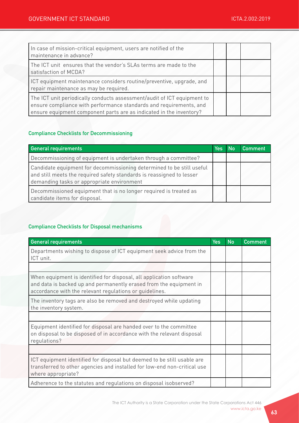| In case of mission-critical equipment, users are notified of the<br>maintenance in advance?                                                                                                                          |  |  |
|----------------------------------------------------------------------------------------------------------------------------------------------------------------------------------------------------------------------|--|--|
| The ICT unit ensures that the vendor's SLAs terms are made to the<br>satisfaction of MCDA?                                                                                                                           |  |  |
| ICT equipment maintenance considers routine/preventive, upgrade, and<br>repair maintenance as may be required.                                                                                                       |  |  |
| The ICT unit periodically conducts assessment/audit of ICT equipment to<br>ensure compliance with performance standards and requirements, and<br>ensure equipment component parts are as indicated in the inventory? |  |  |

## Compliance Checklists for Decommissioning

| <b>General requirements</b>                                                                                                                                                                  | <b>Yes</b> | No | Comment |
|----------------------------------------------------------------------------------------------------------------------------------------------------------------------------------------------|------------|----|---------|
| Decommissioning of equipment is undertaken through a committee?                                                                                                                              |            |    |         |
| Candidate equipment for decommissioning determined to be still useful<br>and still meets the required safety standards is reassigned to lesser<br>demanding tasks or appropriate environment |            |    |         |
| Decommissioned equipment that is no longer required is treated as<br>candidate items for disposal.                                                                                           |            |    |         |

## Compliance Checklists for Disposal mechanisms

| <b>General requirements</b>                                                                                                                                                                          | <b>Yes</b> | <b>No</b> | <b>Comment</b> |
|------------------------------------------------------------------------------------------------------------------------------------------------------------------------------------------------------|------------|-----------|----------------|
| Departments wishing to dispose of ICT equipment seek advice from the<br>ICT unit.                                                                                                                    |            |           |                |
|                                                                                                                                                                                                      |            |           |                |
| When equipment is identified for disposal, all application software<br>and data is backed up and permanently erased from the equipment in<br>accordance with the relevant regulations or guidelines. |            |           |                |
| The inventory tags are also be removed and destroyed while updating<br>the inventory system.                                                                                                         |            |           |                |
|                                                                                                                                                                                                      |            |           |                |
| Equipment identified for disposal are handed over to the committee<br>on disposal to be disposed of in accordance with the relevant disposal<br>regulations?                                         |            |           |                |
|                                                                                                                                                                                                      |            |           |                |
| ICT equipment identified for disposal but deemed to be still usable are<br>transferred to other agencies and installed for low-end non-critical use<br>where appropriate?                            |            |           |                |
| Adherence to the statutes and regulations on disposal isobserved?                                                                                                                                    |            |           |                |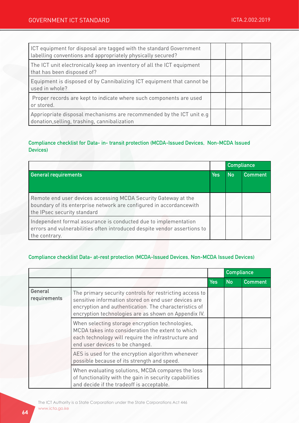| ICT equipment for disposal are tagged with the standard Government<br>labelling conventions and appropriately physically secured? |  |  |
|-----------------------------------------------------------------------------------------------------------------------------------|--|--|
| The ICT unit electronically keep an inventory of all the ICT equipment<br>that has been disposed of?                              |  |  |
| Equipment is disposed of by Cannibalizing ICT equipment that cannot be<br>used in whole?                                          |  |  |
| Proper records are kept to indicate where such components are used<br>or stored.                                                  |  |  |
| Appriopriate disposal mechanisms are recommended by the ICT unit e.g<br>donation, selling, trashing, cannibalization              |  |  |

## Compliance checklist for Data- in- transit protection (MCDA-Issued Devices, Non-MCDA Issued Devices)

|                                                                                                                                                                      |            | <b>Compliance</b> |         |
|----------------------------------------------------------------------------------------------------------------------------------------------------------------------|------------|-------------------|---------|
| <b>General requirements</b>                                                                                                                                          | <b>Yes</b> | <b>No</b>         | Comment |
| Remote end user devices accessing MCDA Security Gateway at the<br>boundary of its enterprise network are configured in accordancewith<br>the IPsec security standard |            |                   |         |
| Independent formal assurance is conducted due to implementation<br>errors and vulnerabilities often introduced despite vendor assertions to<br>the contrary.         |            |                   |         |

## Compliance checklist Data- at-rest protection (MCDA-Issued Devices, Non-MCDA Issued Devices)

|                         |                                                                                                                                                                                                                                  |            | <b>Compliance</b> |                |
|-------------------------|----------------------------------------------------------------------------------------------------------------------------------------------------------------------------------------------------------------------------------|------------|-------------------|----------------|
|                         |                                                                                                                                                                                                                                  | <b>Yes</b> | <b>No</b>         | <b>Comment</b> |
| General<br>requirements | The primary security controls for restricting access to<br>sensitive information stored on end user devices are<br>encryption and authentication. The characteristics of<br>encryption technologies are as shown on Appendix IV. |            |                   |                |
|                         | When selecting storage encryption technologies,<br>MCDA takes into consideration the extent to which<br>each technology will require the infrastructure and<br>end user devices to be changed.                                   |            |                   |                |
|                         | AES is used for the encryption algorithm whenever<br>possible because of its strength and speed.                                                                                                                                 |            |                   |                |
|                         | When evaluating solutions, MCDA compares the loss<br>of functionality with the gain in security capabilities<br>and decide if the tradeoff is acceptable.                                                                        |            |                   |                |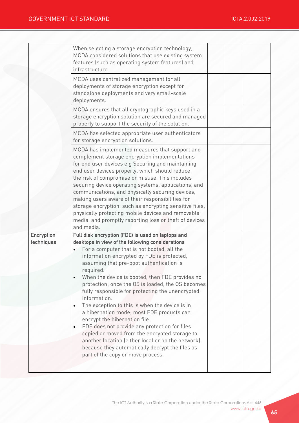| When selecting a storage encryption technology,<br>MCDA considered solutions that use existing system<br>features (such as operating system features) and<br>infrastructure<br>MCDA uses centralized management for all<br>deployments of storage encryption except for<br>standalone deployments and very small-scale<br>deployments.                                                                                                                                                                                                                                                                                                                                                                                                                                                                                 |  |  |
|------------------------------------------------------------------------------------------------------------------------------------------------------------------------------------------------------------------------------------------------------------------------------------------------------------------------------------------------------------------------------------------------------------------------------------------------------------------------------------------------------------------------------------------------------------------------------------------------------------------------------------------------------------------------------------------------------------------------------------------------------------------------------------------------------------------------|--|--|
| MCDA ensures that all cryptographic keys used in a<br>storage encryption solution are secured and managed<br>properly to support the security of the solution.                                                                                                                                                                                                                                                                                                                                                                                                                                                                                                                                                                                                                                                         |  |  |
| MCDA has selected appropriate user authenticators<br>for storage encryption solutions.                                                                                                                                                                                                                                                                                                                                                                                                                                                                                                                                                                                                                                                                                                                                 |  |  |
| MCDA has implemented measures that support and<br>complement storage encryption implementations<br>for end user devices e.g Securing and maintaining<br>end user devices properly, which should reduce<br>the risk of compromise or misuse. This includes<br>securing device operating systems, applications, and<br>communications, and physically securing devices,<br>making users aware of their responsibilities for<br>storage encryption, such as encrypting sensitive files,<br>physically protecting mobile devices and removable<br>media, and promptly reporting loss or theft of devices<br>and media.                                                                                                                                                                                                     |  |  |
| Full disk encryption (FDE) is used on laptops and<br>desktops in view of the following considerations<br>For a computer that is not booted, all the<br>information encrypted by FDE is protected,<br>assuming that pre-boot authentication is<br>required.<br>When the device is booted, then FDE provides no<br>protection; once the OS is loaded, the OS becomes<br>fully responsible for protecting the unencrypted<br>information.<br>The exception to this is when the device is in<br>a hibernation mode; most FDE products can<br>encrypt the hibernation file.<br>FDE does not provide any protection for files<br>copied or moved from the encrypted storage to<br>another location (either local or on the network),<br>because they automatically decrypt the files as<br>part of the copy or move process. |  |  |
|                                                                                                                                                                                                                                                                                                                                                                                                                                                                                                                                                                                                                                                                                                                                                                                                                        |  |  |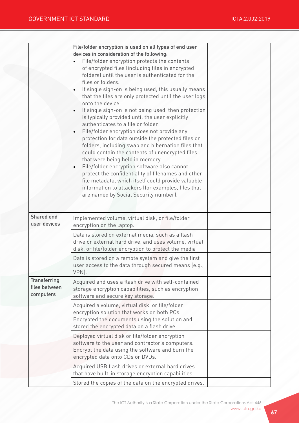|                                                   | File/folder encryption is used on all types of end user<br>devices in consideration of the following:<br>File/folder encryption protects the contents<br>of encrypted files (including files in encrypted<br>folders) until the user is authenticated for the<br>files or folders.<br>If single sign-on is being used, this usually means<br>$\bullet$<br>that the files are only protected until the user logs<br>onto the device.<br>If single sign-on is not being used, then protection<br>$\bullet$<br>is typically provided until the user explicitly<br>authenticates to a file or folder.<br>File/folder encryption does not provide any<br>$\bullet$<br>protection for data outside the protected files or<br>folders, including swap and hibernation files that<br>could contain the contents of unencrypted files<br>that were being held in memory.<br>File/folder encryption software also cannot<br>$\bullet$<br>protect the confidentiality of filenames and other<br>file metadata, which itself could provide valuable<br>information to attackers (for examples, files that<br>are named by Social Security number). |  |  |
|---------------------------------------------------|----------------------------------------------------------------------------------------------------------------------------------------------------------------------------------------------------------------------------------------------------------------------------------------------------------------------------------------------------------------------------------------------------------------------------------------------------------------------------------------------------------------------------------------------------------------------------------------------------------------------------------------------------------------------------------------------------------------------------------------------------------------------------------------------------------------------------------------------------------------------------------------------------------------------------------------------------------------------------------------------------------------------------------------------------------------------------------------------------------------------------------------|--|--|
| Shared end<br>user devices                        | Implemented volume, virtual disk, or file/folder<br>encryption on the laptop.                                                                                                                                                                                                                                                                                                                                                                                                                                                                                                                                                                                                                                                                                                                                                                                                                                                                                                                                                                                                                                                          |  |  |
|                                                   | Data is stored on external media, such as a flash<br>drive or external hard drive, and uses volume, virtual<br>disk, or file/folder encryption to protect the media                                                                                                                                                                                                                                                                                                                                                                                                                                                                                                                                                                                                                                                                                                                                                                                                                                                                                                                                                                    |  |  |
|                                                   | Data is stored on a remote system and give the first<br>user access to the data through secured means (e.g.,<br>VPN).                                                                                                                                                                                                                                                                                                                                                                                                                                                                                                                                                                                                                                                                                                                                                                                                                                                                                                                                                                                                                  |  |  |
| <b>Transferring</b><br>files between<br>computers | Acquired and uses a flash drive with self-contained<br>storage encryption capabilities, such as encryption<br>software and secure key storage.                                                                                                                                                                                                                                                                                                                                                                                                                                                                                                                                                                                                                                                                                                                                                                                                                                                                                                                                                                                         |  |  |
|                                                   | Acquired a volume, virtual disk, or file/folder<br>encryption solution that works on both PCs.<br>Encrypted the documents using the solution and<br>stored the encrypted data on a flash drive.                                                                                                                                                                                                                                                                                                                                                                                                                                                                                                                                                                                                                                                                                                                                                                                                                                                                                                                                        |  |  |
|                                                   | Deployed virtual disk or file/folder encryption<br>software to the user and contractor's computers.<br>Encrypt the data using the software and burn the<br>encrypted data onto CDs or DVDs.                                                                                                                                                                                                                                                                                                                                                                                                                                                                                                                                                                                                                                                                                                                                                                                                                                                                                                                                            |  |  |
|                                                   | Acquired USB flash drives or external hard drives<br>that have built-in storage encryption capabilities.<br>Stored the copies of the data on the encrypted drives.                                                                                                                                                                                                                                                                                                                                                                                                                                                                                                                                                                                                                                                                                                                                                                                                                                                                                                                                                                     |  |  |
|                                                   |                                                                                                                                                                                                                                                                                                                                                                                                                                                                                                                                                                                                                                                                                                                                                                                                                                                                                                                                                                                                                                                                                                                                        |  |  |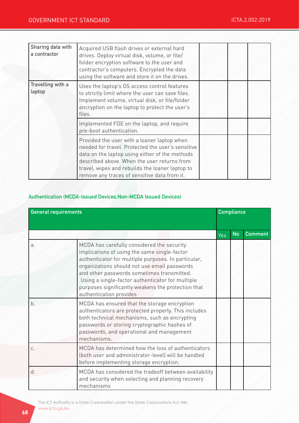| Sharing data with<br>a contractor | Acquired USB flash drives or external hard<br>drives. Deploy virtual disk, volume, or file/<br>folder encryption software to the user and<br>contractor's computers. Encrypted the data<br>using the software and store it on the drives.                                                            |  |  |
|-----------------------------------|------------------------------------------------------------------------------------------------------------------------------------------------------------------------------------------------------------------------------------------------------------------------------------------------------|--|--|
| Travelling with a<br>laptop       | Uses the laptop's OS access control features<br>to strictly limit where the user can save files.<br>Implement volume, virtual disk, or file/folder<br>encryption on the laptop to protect the user's<br>files.                                                                                       |  |  |
|                                   | Implemented FDE on the laptop, and require<br>pre-boot authentication.                                                                                                                                                                                                                               |  |  |
|                                   | Provided the user with a loaner laptop when<br>needed for travel. Protected the user's sensitive<br>data on the laptop using either of the methods<br>described above. When the user returns from<br>travel, wipes and rebuilds the loaner laptop to<br>remove any traces of sensitive data from it. |  |  |

#### Authentication (MCDA-Issued Devices,Non-MCDA Issued Devices)

| <b>General requirements</b> |                                                                                                                                                                                                                                                                                                                                                                                       | <b>Compliance</b> |           |                |
|-----------------------------|---------------------------------------------------------------------------------------------------------------------------------------------------------------------------------------------------------------------------------------------------------------------------------------------------------------------------------------------------------------------------------------|-------------------|-----------|----------------|
|                             |                                                                                                                                                                                                                                                                                                                                                                                       | Yes               | <b>No</b> | <b>Comment</b> |
| a.                          | MCDA has carefully considered the security<br>implications of using the same single-factor<br>authenticator for multiple purposes. In particular,<br>organizations should not use email passwords<br>and other passwords sometimes transmitted.<br>.Using a single-factor authenticator for multiple<br>purposes significantly weakens the protection that<br>authentication provides |                   |           |                |
| b.                          | MCDA has ensured that the storage encryption<br>authenticators are protected properly. This includes<br>both technical mechanisms, such as encrypting<br>passwords or storing cryptographic hashes of<br>passwords, and operational and management<br>mechanisms.                                                                                                                     |                   |           |                |
| C.                          | MCDA has determined how the loss of authenticators<br>(both user and administrator-level) will be handled<br>before implementing storage encryption.                                                                                                                                                                                                                                  |                   |           |                |
| d.                          | MCDA has considered the tradeoff between availability<br>and security when selecting and planning recovery<br>mechanisms                                                                                                                                                                                                                                                              |                   |           |                |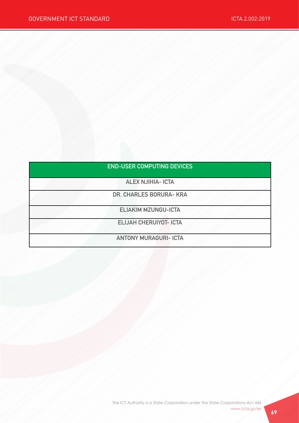| <b>END-USER COMPUTING DEVICES</b> |  |  |  |
|-----------------------------------|--|--|--|
|                                   |  |  |  |

ALEX NJIHIA- ICTA

DR. CHARLES BORURA- KRA

ELIAKIM MZUNGU-ICTA

ELIJAH CHERUIYOT- ICTA

ANTONY MURAGURI- ICTA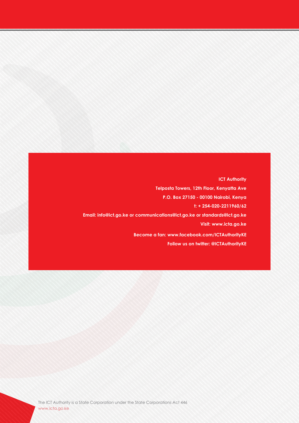**ICT Authority Telposta Towers, 12th Floor, Kenyatta Ave P.O. Box 27150 - 00100 Nairobi, Kenya t: + 254-020-2211960/62 Email: info@ict.go.ke or communications@ict.go.ke or standards@ict.go.ke Visit: www.icta.go.ke Become a fan: www.facebook.com/ICTAuthorityKE Follow us on twitter: @ICTAuthorityKE**